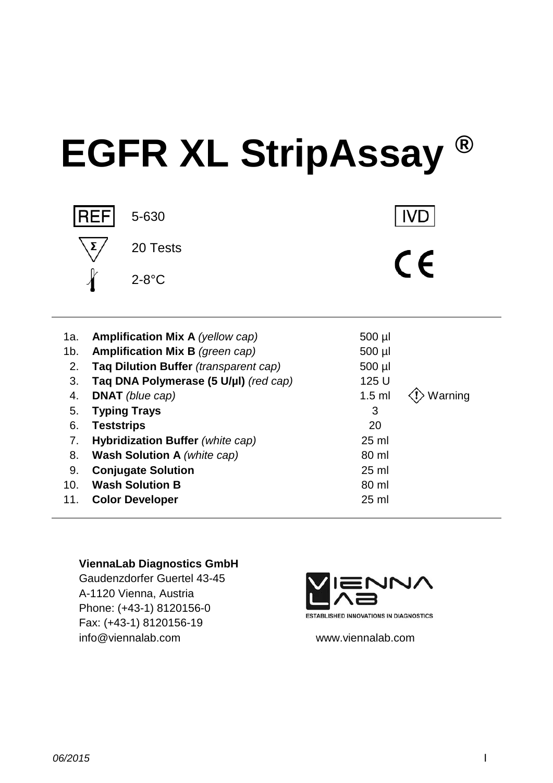# **EGFR XL StripAssay ®**



| 2. Tag Dilution Buffer <i>(transparent cap)</i> | $500$ µl |                                        |
|-------------------------------------------------|----------|----------------------------------------|
| 3. Tag DNA Polymerase (5 U/µl) (red cap)        | 125 U    |                                        |
| 4. <b>DNAT</b> (blue cap)                       |          | 1.5 ml $\langle \cdot \rangle$ Warning |

- 5. **Typing Trays** 3
- 6. **Teststrips** 20
- 7. **Hybridization Buffer** *(white cap)* 25 ml
- 8. **Wash Solution A** *(white cap)* 80 ml
- 9. **Conjugate Solution** 25 ml
- 10. **Wash Solution B** 80 ml
- 11. **Color Developer** 25 ml
	- **ViennaLab Diagnostics GmbH**

Gaudenzdorfer Guertel 43-45 A-1120 Vienna, Austria Phone: (+43-1) 8120156-0 Fax: (+43-1) 8120156-19 info@viennalab.com www.viennalab.com

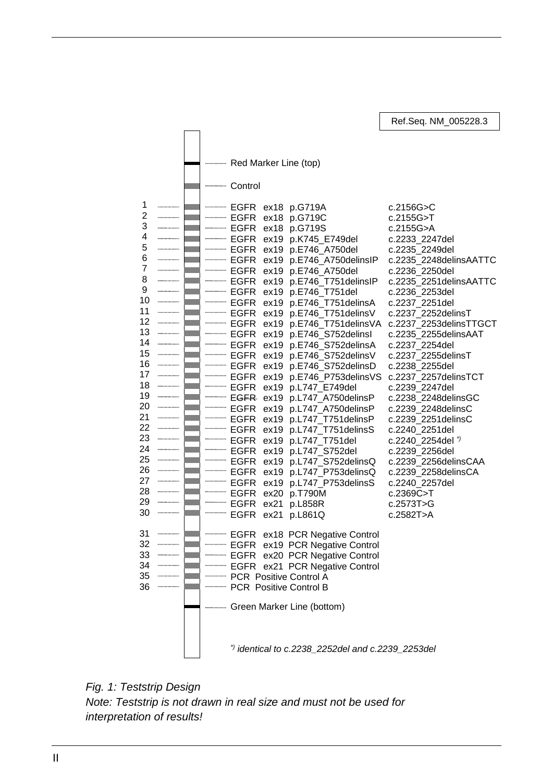Red Marker Line (top) **Control** 1 EGFR ex18 p.G719A c.2156G>C 2 ............ EGFR ex18 p.G719C c.2155G>T 3 EGFR ex18 p.G719S c.2155G>A ............ 4 EGFR ex19 p.K745\_E749del c.2233\_2247del 5 ................ EGFR ex19 p.E746\_A750del 6  $\ldots$ EGFR ex19 p.E746\_A750delinsIP c.2235\_2248delinsAATTC 7 . . . . . . . . . . . . . EGFR ex19 p.E746\_A750del c.2236\_2250del 8 ............. EGFR ex19 p.E746\_T751delinsIP c.2235\_2251delinsAATTC 9 EGFR ex19 p.E746\_T751del c.2236\_2253del . . . . . . . . . . . . . . . 10 . . . . . . . . . . . . . . . . . . . EGFR ex19 p.E746\_T751delinsA c.2237\_2251del 11 EGFR ex19 p.E746\_T751delinsV c.2237\_2252delinsT 12 EGFR ex19 p.E746\_T751delinsVA c.2237\_2253delinsTTGCT 13 EGFR ex19 p.E746\_S752delinsI c.2235\_2255delinsAAT 14 EGFR ex19 p.E746\_S752delinsA c.2237\_2254del 15 . . . . . . . . . . . . . . . . EGFR ex19 p.E746\_S752delinsV c.2237\_2255delinsT 16 . . . . . . . . . . . . . . . . EGFR ex19 p.E746\_S752delinsD c.2238\_2255del 17 . . . . . . . . . . . . . . . EGFR ex19 p.E746\_P753delinsVS c.2237\_2257delinsTCT 18 EGFR ex19 p.L747\_E749del c.2239\_2247del 19 . . . . . . . . . . . . . . . EGFR ex19 p.L747\_A750delinsP c.2238\_2248delinsGC 20 ............... EGFR ex19 p.L747\_A750delinsP c.2239\_2248delinsC 21 EGFR ex19 p.L747\_T751delinsP c.2239\_2251delinsC 22 EGFR ex19 p.L747\_T751delinsS c.2240\_2251del 23  $\ldots$ EGFR ex19 p.L747\_T751del c.2240\_2254del *\*)* 24 ................. EGFR ex19 p.L747\_S752del c.2239\_2256del 25 EGFR ex19 p.L747\_S752delinsQ c.2239\_2256delinsCAA 26 EGFR ex19 p.L747\_P753delinsQ c.2239\_2258delinsCA 27 . . . . . . . . . . . . . . . **EGFR** ex19 p.L747\_P753delinsS 28 ................ EGFR ex20 p.T790M c.2369C>T 29 ................ EGFR ex21 p.L858R c.2573T>G 30 **EGFR** ex21 p.L861Q 31 ................. **EGFR** ex18 PCR Negative Control 32 ................ **EGFR** ex19 PCR Negative Control 33 **EGFR** ex20 PCR Negative Control 34 ................. **EGFR** ex21 PCR Negative Control 35 **WARNTOWEY POSE POSITIVE CONTROL A** 36 **ECR Positive Control B Green Marker Line (bottom)** *\*) identical to c.2238\_2252del and c.2239\_2253del*

Ref.Seq. NM\_005228.3

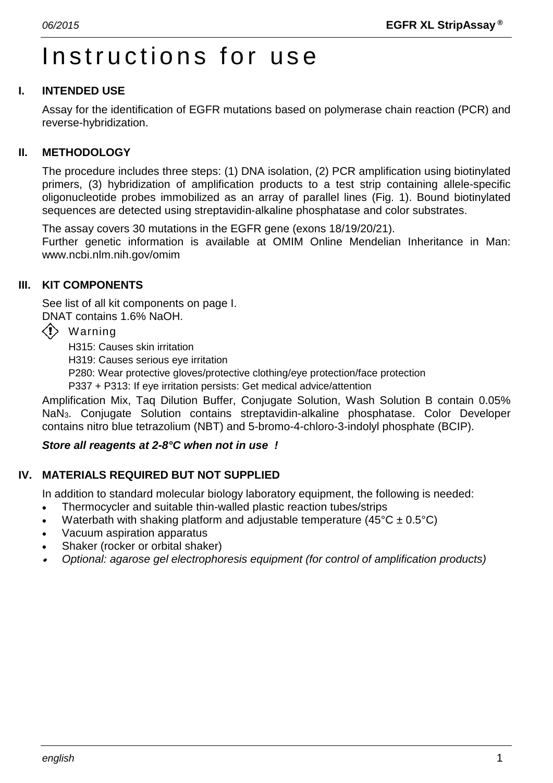# Instructions for use

# **I. INTENDED USE**

Assay for the identification of EGFR mutations based on polymerase chain reaction (PCR) and reverse-hybridization.

# **II. METHODOLOGY**

The procedure includes three steps: (1) DNA isolation, (2) PCR amplification using biotinylated primers, (3) hybridization of amplification products to a test strip containing allele-specific oligonucleotide probes immobilized as an array of parallel lines (Fig. 1). Bound biotinylated sequences are detected using streptavidin-alkaline phosphatase and color substrates.

The assay covers 30 mutations in the EGFR gene (exons 18/19/20/21).

Further genetic information is available at OMIM Online Mendelian Inheritance in Man: www.ncbi.nlm.nih.gov/omim

# **III. KIT COMPONENTS**

See list of all kit components on page I. DNAT contains 1.6% NaOH.

- $\langle \cdot \rangle$  Warning
	- H315: Causes skin irritation
	- H319: Causes serious eye irritation
	- P280: Wear protective gloves/protective clothing/eye protection/face protection
	- P337 + P313: If eye irritation persists: Get medical advice/attention

Amplification Mix, Taq Dilution Buffer, Conjugate Solution, Wash Solution B contain 0.05% NaN3. Conjugate Solution contains streptavidin-alkaline phosphatase. Color Developer contains nitro blue tetrazolium (NBT) and 5-bromo-4-chloro-3-indolyl phosphate (BCIP).

# *Store all reagents at 2-8°C when not in use !*

# **IV. MATERIALS REQUIRED BUT NOT SUPPLIED**

In addition to standard molecular biology laboratory equipment, the following is needed:

- Thermocycler and suitable thin-walled plastic reaction tubes/strips
- Waterbath with shaking platform and adjustable temperature ( $45^{\circ}$ C  $\pm$  0.5°C)
- Vacuum aspiration apparatus
- Shaker (rocker or orbital shaker)
- •*Optional: agarose gel electrophoresis equipment (for control of amplification products)*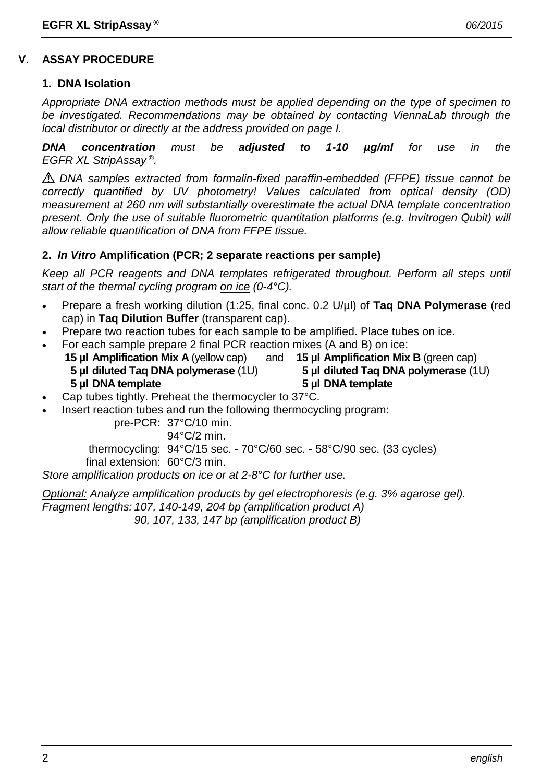### **1. DNA Isolation**

*Appropriate DNA extraction methods must be applied depending on the type of specimen to be investigated. Recommendations may be obtained by contacting ViennaLab through the local distributor or directly at the address provided on page I.*

*DNA concentration must be adjusted to 1-10 µg/ml for use in the EGFR XL StripAssay ®.*

*DNA samples extracted from formalin-fixed paraffin-embedded (FFPE) tissue cannot be correctly quantified by UV photometry! Values calculated from optical density (OD) measurement at 260 nm will substantially overestimate the actual DNA template concentration present. Only the use of suitable fluorometric quantitation platforms (e.g. Invitrogen Qubit) will allow reliable quantification of DNA from FFPE tissue.*

# **2.** *In Vitro* **Amplification (PCR; 2 separate reactions per sample)**

*Keep all PCR reagents and DNA templates refrigerated throughout. Perform all steps until start of the thermal cycling program on ice (0-4°C).*

- Prepare a fresh working dilution (1:25, final conc. 0.2 U/µl) of **Taq DNA Polymerase** (red cap) in **Taq Dilution Buffer** (transparent cap).
- Prepare two reaction tubes for each sample to be amplified. Place tubes on ice.
- For each sample prepare 2 final PCR reaction mixes (A and B) on ice:<br>**15 µl Amplification Mix A** (yellow cap) and **15 µl Amplification Mix B** (green cap)
	- **15 µl Amplification Mix A** (yellow cap) and **5 µl diluted Taq DNA polymerase** (1U) **5 µl diluted Taq DNA polymerase** (1U)

**5 µl DNA template 5 µl DNA template**

- Cap tubes tightly. Preheat the thermocycler to 37°C.
- Insert reaction tubes and run the following thermocycling program:

pre-PCR: 37°C/10 min.

94°C/2 min.

thermocycling: 94°C/15 sec. - 70°C/60 sec. - 58°C/90 sec. (33 cycles)

final extension: 60°C/3 min.

*Store amplification products on ice or at 2-8°C for further use.*

*Optional: Analyze amplification products by gel electrophoresis (e.g. 3% agarose gel). Fragment lengths: 107, 140-149, 204 bp (amplification product A) 90, 107, 133, 147 bp (amplification product B)*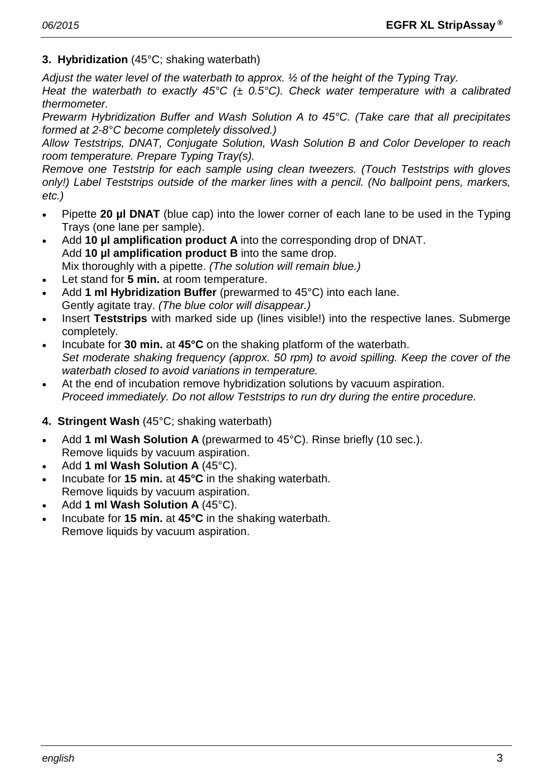# **3. Hybridization** (45°C; shaking waterbath)

*Adjust the water level of the waterbath to approx. ½ of the height of the Typing Tray.*

*Heat the waterbath to exactly 45°C (± 0.5°C). Check water temperature with a calibrated thermometer.*

*Prewarm Hybridization Buffer and Wash Solution A to 45°C. (Take care that all precipitates formed at 2-8°C become completely dissolved.)*

*Allow Teststrips, DNAT, Conjugate Solution, Wash Solution B and Color Developer to reach room temperature. Prepare Typing Tray(s).*

*Remove one Teststrip for each sample using clean tweezers. (Touch Teststrips with gloves only!) Label Teststrips outside of the marker lines with a pencil. (No ballpoint pens, markers, etc.)*

- Pipette **20 µl DNAT** (blue cap) into the lower corner of each lane to be used in the Typing Trays (one lane per sample).
- Add **10 µl amplification product A** into the corresponding drop of DNAT. Add **10 µl amplification product B** into the same drop. Mix thoroughly with a pipette. *(The solution will remain blue.)*
- Let stand for 5 min. at room temperature.
- Add **1 ml Hybridization Buffer** (prewarmed to 45°C) into each lane. Gently agitate tray. *(The blue color will disappear.)*
- Insert **Teststrips** with marked side up (lines visible!) into the respective lanes. Submerge completely.
- Incubate for **30 min.** at **45°C** on the shaking platform of the waterbath. *Set moderate shaking frequency (approx. 50 rpm) to avoid spilling. Keep the cover of the waterbath closed to avoid variations in temperature.*
- At the end of incubation remove hybridization solutions by vacuum aspiration. *Proceed immediately. Do not allow Teststrips to run dry during the entire procedure.*

# **4. Stringent Wash** (45°C; shaking waterbath)

- Add **1 ml Wash Solution A** (prewarmed to 45°C). Rinse briefly (10 sec.). Remove liquids by vacuum aspiration.
- Add **1 ml Wash Solution A** (45°C).
- Incubate for **15 min.** at **45°C** in the shaking waterbath. Remove liquids by vacuum aspiration.
- Add **1 ml Wash Solution A** (45°C).
- Incubate for **15 min.** at **45°C** in the shaking waterbath. Remove liquids by vacuum aspiration.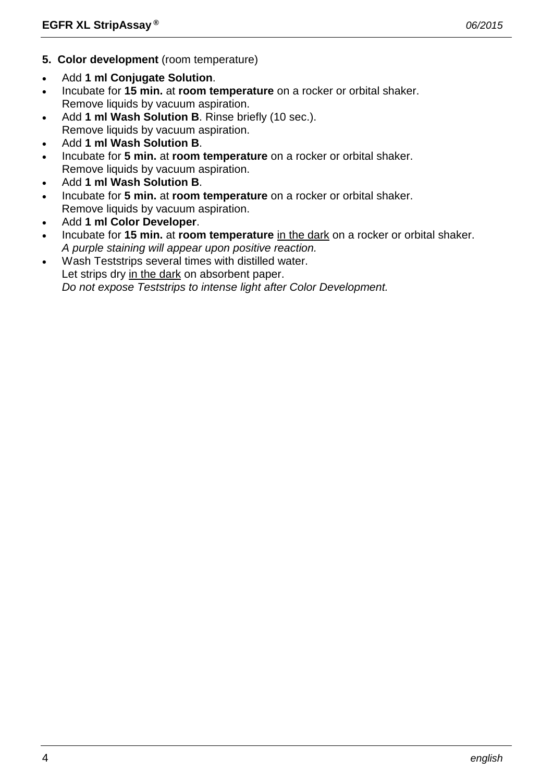- **5. Color development** (room temperature)
- Add **1 ml Conjugate Solution**.
- Incubate for **15 min.** at **room temperature** on a rocker or orbital shaker. Remove liquids by vacuum aspiration.
- Add **1 ml Wash Solution B**. Rinse briefly (10 sec.). Remove liquids by vacuum aspiration.
- Add **1 ml Wash Solution B**.
- Incubate for **5 min.** at **room temperature** on a rocker or orbital shaker. Remove liquids by vacuum aspiration.
- Add **1 ml Wash Solution B**.
- Incubate for **5 min.** at **room temperature** on a rocker or orbital shaker. Remove liquids by vacuum aspiration.
- Add **1 ml Color Developer**.
- Incubate for **15 min.** at **room temperature** in the dark on a rocker or orbital shaker. *A purple staining will appear upon positive reaction.*
- Wash Teststrips several times with distilled water. Let strips dry in the dark on absorbent paper. *Do not expose Teststrips to intense light after Color Development.*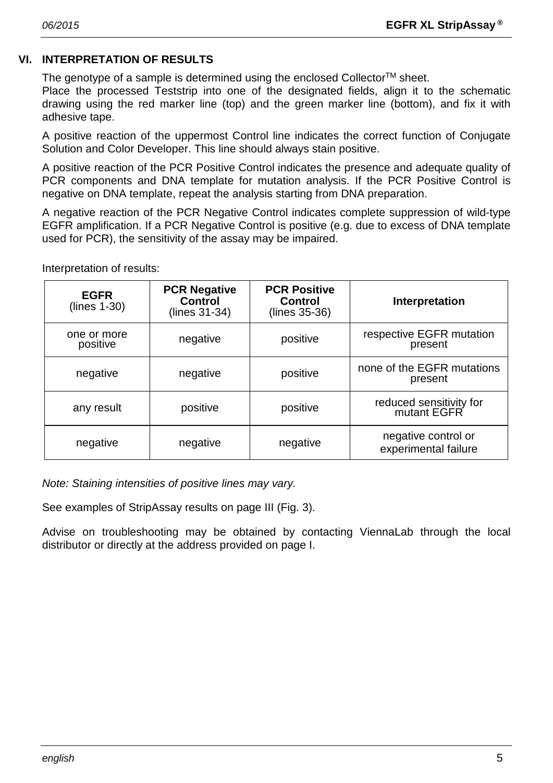# **VI. INTERPRETATION OF RESULTS**

The genotype of a sample is determined using the enclosed Collector<sup>TM</sup> sheet.

Place the processed Teststrip into one of the designated fields, align it to the schematic drawing using the red marker line (top) and the green marker line (bottom), and fix it with adhesive tape.

A positive reaction of the uppermost Control line indicates the correct function of Conjugate Solution and Color Developer. This line should always stain positive.

A positive reaction of the PCR Positive Control indicates the presence and adequate quality of PCR components and DNA template for mutation analysis. If the PCR Positive Control is negative on DNA template, repeat the analysis starting from DNA preparation.

A negative reaction of the PCR Negative Control indicates complete suppression of wild-type EGFR amplification. If a PCR Negative Control is positive (e.g. due to excess of DNA template used for PCR), the sensitivity of the assay may be impaired.

Interpretation of results:

| <b>EGFR</b><br>$(lines 1-30)$ | <b>PCR Negative</b><br><b>Control</b><br>(lines 31-34) | <b>PCR Positive</b><br><b>Control</b><br>(lines 35-36) | Interpretation                              |
|-------------------------------|--------------------------------------------------------|--------------------------------------------------------|---------------------------------------------|
| one or more<br>positive       | negative                                               | positive                                               | respective EGFR mutation<br>present         |
| negative                      | negative                                               | positive                                               | none of the EGFR mutations<br>present       |
| any result                    | positive                                               | positive                                               | reduced sensitivity for<br>mutant EGFR      |
| negative                      | negative                                               | negative                                               | negative control or<br>experimental failure |

*Note: Staining intensities of positive lines may vary.*

See examples of StripAssay results on page III (Fig. 3).

Advise on troubleshooting may be obtained by contacting ViennaLab through the local distributor or directly at the address provided on page I.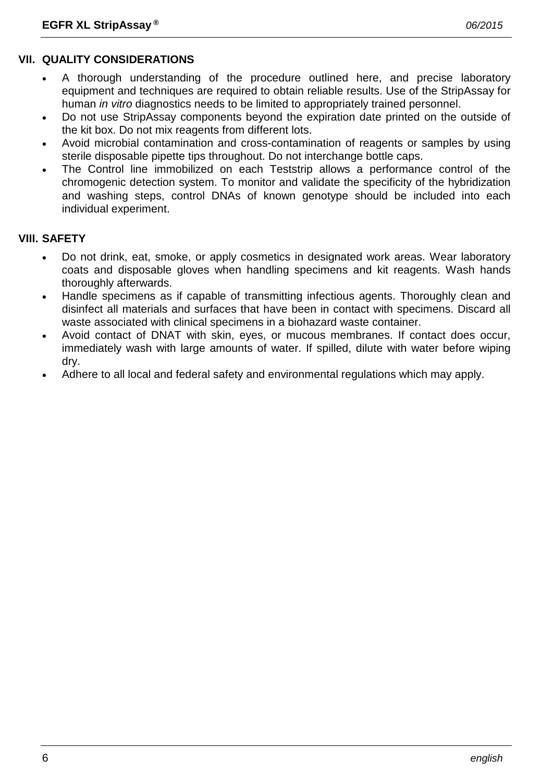# **VII. QUALITY CONSIDERATIONS**

- A thorough understanding of the procedure outlined here, and precise laboratory equipment and techniques are required to obtain reliable results. Use of the StripAssay for human *in vitro* diagnostics needs to be limited to appropriately trained personnel.
- Do not use StripAssay components beyond the expiration date printed on the outside of the kit box. Do not mix reagents from different lots.
- Avoid microbial contamination and cross-contamination of reagents or samples by using sterile disposable pipette tips throughout. Do not interchange bottle caps.
- The Control line immobilized on each Teststrip allows a performance control of the chromogenic detection system. To monitor and validate the specificity of the hybridization and washing steps, control DNAs of known genotype should be included into each individual experiment.

# **VIII. SAFETY**

- Do not drink, eat, smoke, or apply cosmetics in designated work areas. Wear laboratory coats and disposable gloves when handling specimens and kit reagents. Wash hands thoroughly afterwards.
- Handle specimens as if capable of transmitting infectious agents. Thoroughly clean and disinfect all materials and surfaces that have been in contact with specimens. Discard all waste associated with clinical specimens in a biohazard waste container.
- Avoid contact of DNAT with skin, eyes, or mucous membranes. If contact does occur, immediately wash with large amounts of water. If spilled, dilute with water before wiping dry.
- Adhere to all local and federal safety and environmental regulations which may apply.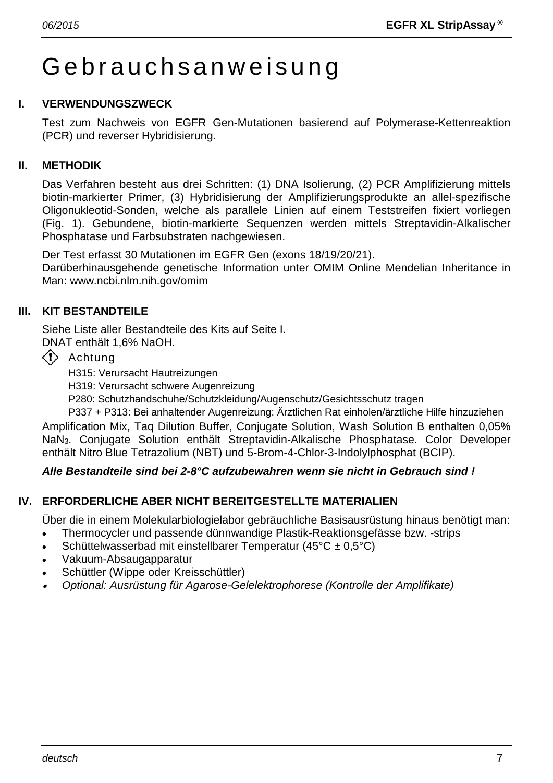# Gebrauchs anweisung

# **I. VERWENDUNGSZWECK**

Test zum Nachweis von EGFR Gen-Mutationen basierend auf Polymerase-Kettenreaktion (PCR) und reverser Hybridisierung.

# **II. METHODIK**

Das Verfahren besteht aus drei Schritten: (1) DNA Isolierung, (2) PCR Amplifizierung mittels biotin-markierter Primer, (3) Hybridisierung der Amplifizierungsprodukte an allel-spezifische Oligonukleotid-Sonden, welche als parallele Linien auf einem Teststreifen fixiert vorliegen (Fig. 1). Gebundene, biotin-markierte Sequenzen werden mittels Streptavidin-Alkalischer Phosphatase und Farbsubstraten nachgewiesen.

Der Test erfasst 30 Mutationen im EGFR Gen (exons 18/19/20/21).

Darüberhinausgehende genetische Information unter OMIM Online Mendelian Inheritance in Man: www.ncbi.nlm.nih.gov/omim

# **III. KIT BESTANDTEILE**

Siehe Liste aller Bestandteile des Kits auf Seite I.

DNAT enthält 1,6% NaOH.

 $\langle \cdot \rangle$  Achtung

H315: Verursacht Hautreizungen

H319: Verursacht schwere Augenreizung

P280: Schutzhandschuhe/Schutzkleidung/Augenschutz/Gesichtsschutz tragen

P337 + P313: Bei anhaltender Augenreizung: Ärztlichen Rat einholen/ärztliche Hilfe hinzuziehen Amplification Mix, Taq Dilution Buffer, Conjugate Solution, Wash Solution B enthalten 0,05% NaN3. Conjugate Solution enthält Streptavidin-Alkalische Phosphatase. Color Developer enthält Nitro Blue Tetrazolium (NBT) und 5-Brom-4-Chlor-3-Indolylphosphat (BCIP).

# *Alle Bestandteile sind bei 2-8°C aufzubewahren wenn sie nicht in Gebrauch sind !*

# **IV. ERFORDERLICHE ABER NICHT BEREITGESTELLTE MATERIALIEN**

Über die in einem Molekularbiologielabor gebräuchliche Basisausrüstung hinaus benötigt man:

- Thermocycler und passende dünnwandige Plastik-Reaktionsgefässe bzw. -strips
- Schüttelwasserbad mit einstellbarer Temperatur (45 $\textdegree$ C ± 0,5 $\textdegree$ C)
- Vakuum-Absaugapparatur
- Schüttler (Wippe oder Kreisschüttler)
- •*Optional: Ausrüstung für Agarose-Gelelektrophorese (Kontrolle der Amplifikate)*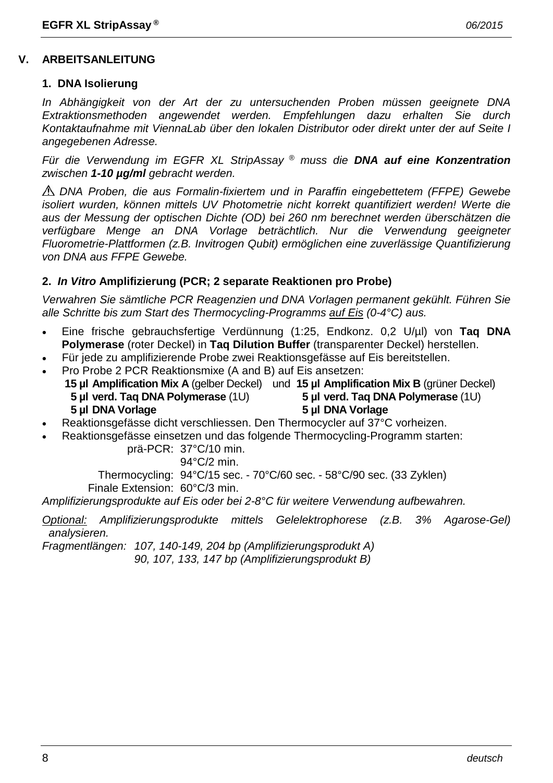#### **V. ARBEITSANLEITUNG**

#### **1. DNA Isolierung**

*In Abhängigkeit von der Art der zu untersuchenden Proben müssen geeignete DNA Extraktionsmethoden angewendet werden. Empfehlungen dazu erhalten Sie durch Kontaktaufnahme mit ViennaLab über den lokalen Distributor oder direkt unter der auf Seite I angegebenen Adresse.*

*Für die Verwendung im EGFR XL StripAssay ® muss die DNA auf eine Konzentration zwischen 1-10 µg/ml gebracht werden.*

*DNA Proben, die aus Formalin-fixiertem und in Paraffin eingebettetem (FFPE) Gewebe isoliert wurden, können mittels UV Photometrie nicht korrekt quantifiziert werden! Werte die aus der Messung der optischen Dichte (OD) bei 260 nm berechnet werden überschätzen die verfügbare Menge an DNA Vorlage beträchtlich. Nur die Verwendung geeigneter Fluorometrie-Plattformen (z.B. Invitrogen Qubit) ermöglichen eine zuverlässige Quantifizierung von DNA aus FFPE Gewebe.*

#### **2.** *In Vitro* **Amplifizierung (PCR; 2 separate Reaktionen pro Probe)**

*Verwahren Sie sämtliche PCR Reagenzien und DNA Vorlagen permanent gekühlt. Führen Sie alle Schritte bis zum Start des Thermocycling-Programms auf Eis (0-4°C) aus.*

- Eine frische gebrauchsfertige Verdünnung (1:25, Endkonz. 0,2 U/µl) von **Taq DNA Polymerase** (roter Deckel) in **Taq Dilution Buffer** (transparenter Deckel) herstellen.
- Für jede zu amplifizierende Probe zwei Reaktionsgefässe auf Eis bereitstellen.
- Pro Probe 2 PCR Reaktionsmixe (A and B) auf Eis ansetzen: **15 µl Amplification Mix A** (gelber Deckel) und **15 µl Amplification Mix B** (grüner Deckel) **5 µl verd. Taq DNA Polymerase** (1U) **5 µl verd. Taq DNA Polymerase** (1U) **5 µl DNA Vorlage 5 µl DNA Vorlage**

- Reaktionsgefässe dicht verschliessen. Den Thermocycler auf 37°C vorheizen.
	- Reaktionsgefässe einsetzen und das folgende Thermocycling-Programm starten:

prä-PCR: 37°C/10 min.

94°C/2 min.

Thermocycling: 94°C/15 sec. - 70°C/60 sec. - 58°C/90 sec. (33 Zyklen) Finale Extension: 60°C/3 min.

*Amplifizierungsprodukte auf Eis oder bei 2-8°C für weitere Verwendung aufbewahren.*

*Optional: Amplifizierungsprodukte mittels Gelelektrophorese (z.B. 3% Agarose-Gel) analysieren.*

*Fragmentlängen: 107, 140-149, 204 bp (Amplifizierungsprodukt A)*

*90, 107, 133, 147 bp (Amplifizierungsprodukt B)*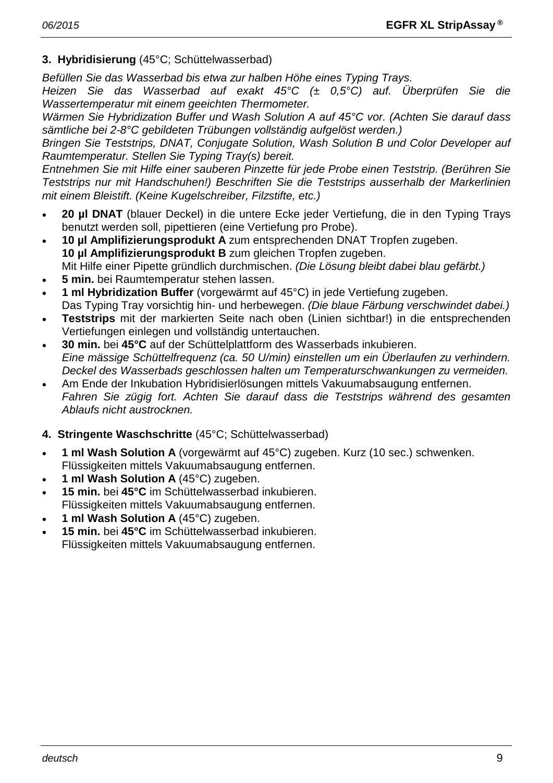# **3. Hybridisierung** (45°C; Schüttelwasserbad)

*Befüllen Sie das Wasserbad bis etwa zur halben Höhe eines Typing Trays.*

*Heizen Sie das Wasserbad auf exakt 45°C (± 0,5°C) auf. Überprüfen Sie die Wassertemperatur mit einem geeichten Thermometer.*

*Wärmen Sie Hybridization Buffer und Wash Solution A auf 45°C vor. (Achten Sie darauf dass sämtliche bei 2-8°C gebildeten Trübungen vollständig aufgelöst werden.)*

*Bringen Sie Teststrips, DNAT, Conjugate Solution, Wash Solution B und Color Developer auf Raumtemperatur. Stellen Sie Typing Tray(s) bereit.*

*Entnehmen Sie mit Hilfe einer sauberen Pinzette für jede Probe einen Teststrip. (Berühren Sie Teststrips nur mit Handschuhen!) Beschriften Sie die Teststrips ausserhalb der Markerlinien mit einem Bleistift. (Keine Kugelschreiber, Filzstifte, etc.)*

- **20 µl DNAT** (blauer Deckel) in die untere Ecke jeder Vertiefung, die in den Typing Trays benutzt werden soll, pipettieren (eine Vertiefung pro Probe).
- **10 µl Amplifizierungsprodukt A** zum entsprechenden DNAT Tropfen zugeben. **10 µl Amplifizierungsprodukt B** zum gleichen Tropfen zugeben. Mit Hilfe einer Pipette gründlich durchmischen. *(Die Lösung bleibt dabei blau gefärbt.)*
- **5 min.** bei Raumtemperatur stehen lassen.
- **1 ml Hybridization Buffer** (vorgewärmt auf 45°C) in jede Vertiefung zugeben. Das Typing Tray vorsichtig hin- und herbewegen. *(Die blaue Färbung verschwindet dabei.)*
- **Teststrips** mit der markierten Seite nach oben (Linien sichtbar!) in die entsprechenden Vertiefungen einlegen und vollständig untertauchen.
- **30 min.** bei **45°C** auf der Schüttelplattform des Wasserbads inkubieren. *Eine mässige Schüttelfrequenz (ca. 50 U/min) einstellen um ein Überlaufen zu verhindern. Deckel des Wasserbads geschlossen halten um Temperaturschwankungen zu vermeiden.*
- Am Ende der Inkubation Hybridisierlösungen mittels Vakuumabsaugung entfernen. *Fahren Sie zügig fort. Achten Sie darauf dass die Teststrips während des gesamten Ablaufs nicht austrocknen.*
- **4. Stringente Waschschritte** (45°C; Schüttelwasserbad)
- **1 ml Wash Solution A** (vorgewärmt auf 45°C) zugeben. Kurz (10 sec.) schwenken. Flüssigkeiten mittels Vakuumabsaugung entfernen.
- **1 ml Wash Solution A** (45°C) zugeben.
- **15 min.** bei **45°C** im Schüttelwasserbad inkubieren. Flüssigkeiten mittels Vakuumabsaugung entfernen.
- **1 ml Wash Solution A** (45°C) zugeben.
- **15 min.** bei **45°C** im Schüttelwasserbad inkubieren. Flüssigkeiten mittels Vakuumabsaugung entfernen.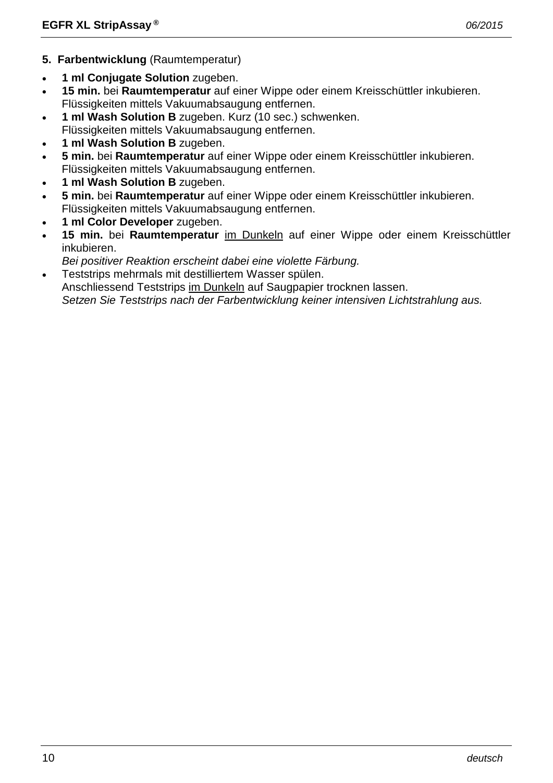- **5. Farbentwicklung** (Raumtemperatur)
- **1 ml Conjugate Solution** zugeben.
- **15 min.** bei **Raumtemperatur** auf einer Wippe oder einem Kreisschüttler inkubieren. Flüssigkeiten mittels Vakuumabsaugung entfernen.
- **1 ml Wash Solution B** zugeben. Kurz (10 sec.) schwenken. Flüssigkeiten mittels Vakuumabsaugung entfernen.
- **1 ml Wash Solution B** zugeben.
- **5 min.** bei **Raumtemperatur** auf einer Wippe oder einem Kreisschüttler inkubieren. Flüssigkeiten mittels Vakuumabsaugung entfernen.
- **1 ml Wash Solution B** zugeben.
- **5 min.** bei **Raumtemperatur** auf einer Wippe oder einem Kreisschüttler inkubieren. Flüssigkeiten mittels Vakuumabsaugung entfernen.
- **1 ml Color Developer** zugeben.
- **15 min.** bei **Raumtemperatur** im Dunkeln auf einer Wippe oder einem Kreisschüttler inkubieren.
- *Bei positiver Reaktion erscheint dabei eine violette Färbung.*
- Teststrips mehrmals mit destilliertem Wasser spülen.

Anschliessend Teststrips im Dunkeln auf Saugpapier trocknen lassen.

*Setzen Sie Teststrips nach der Farbentwicklung keiner intensiven Lichtstrahlung aus.*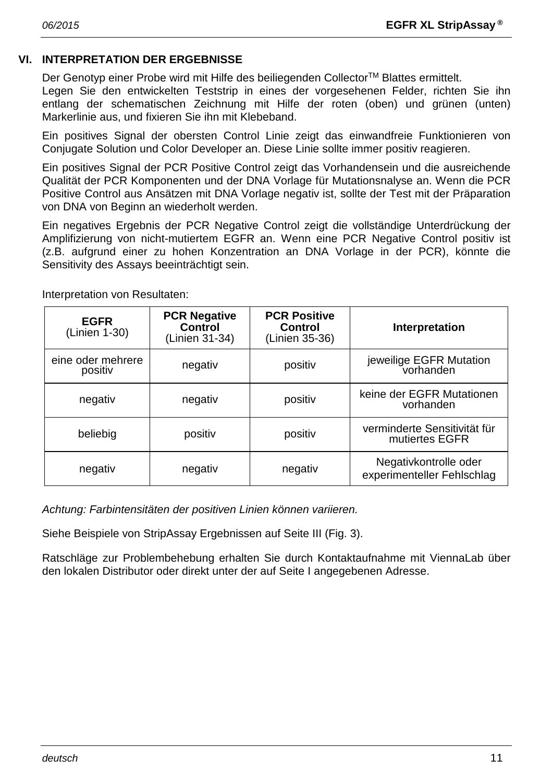# **VI. INTERPRETATION DER ERGEBNISSE**

Der Genotyp einer Probe wird mit Hilfe des beiliegenden Collector™ Blattes ermittelt.

Legen Sie den entwickelten Teststrip in eines der vorgesehenen Felder, richten Sie ihn entlang der schematischen Zeichnung mit Hilfe der roten (oben) und grünen (unten) Markerlinie aus, und fixieren Sie ihn mit Klebeband.

Ein positives Signal der obersten Control Linie zeigt das einwandfreie Funktionieren von Conjugate Solution und Color Developer an. Diese Linie sollte immer positiv reagieren.

Ein positives Signal der PCR Positive Control zeigt das Vorhandensein und die ausreichende Qualität der PCR Komponenten und der DNA Vorlage für Mutationsnalyse an. Wenn die PCR Positive Control aus Ansätzen mit DNA Vorlage negativ ist, sollte der Test mit der Präparation von DNA von Beginn an wiederholt werden.

Ein negatives Ergebnis der PCR Negative Control zeigt die vollständige Unterdrückung der Amplifizierung von nicht-mutiertem EGFR an. Wenn eine PCR Negative Control positiv ist (z.B. aufgrund einer zu hohen Konzentration an DNA Vorlage in der PCR), könnte die Sensitivity des Assays beeinträchtigt sein.

| <b>EGFR</b><br>(Linien 1-30) | <b>PCR Negative</b><br><b>Control</b><br>(Linien 31-34) | <b>PCR Positive</b><br><b>Control</b><br>(Linien 35-36) | Interpretation                                      |
|------------------------------|---------------------------------------------------------|---------------------------------------------------------|-----------------------------------------------------|
| eine oder mehrere<br>positiv | negativ                                                 | positiv                                                 | jeweilige EGFR Mutation<br>vorhanden                |
| negativ                      | negativ                                                 | positiv                                                 | keine der EGFR Mutationen<br>vorhanden              |
| beliebig                     | positiv                                                 | positiv                                                 | verminderte Sensitivität für<br>mutiertes EGFR      |
| negativ                      | negativ                                                 | negativ                                                 | Negativkontrolle oder<br>experimenteller Fehlschlag |

Interpretation von Resultaten:

*Achtung: Farbintensitäten der positiven Linien können variieren.*

Siehe Beispiele von StripAssay Ergebnissen auf Seite III (Fig. 3).

Ratschläge zur Problembehebung erhalten Sie durch Kontaktaufnahme mit ViennaLab über den lokalen Distributor oder direkt unter der auf Seite I angegebenen Adresse.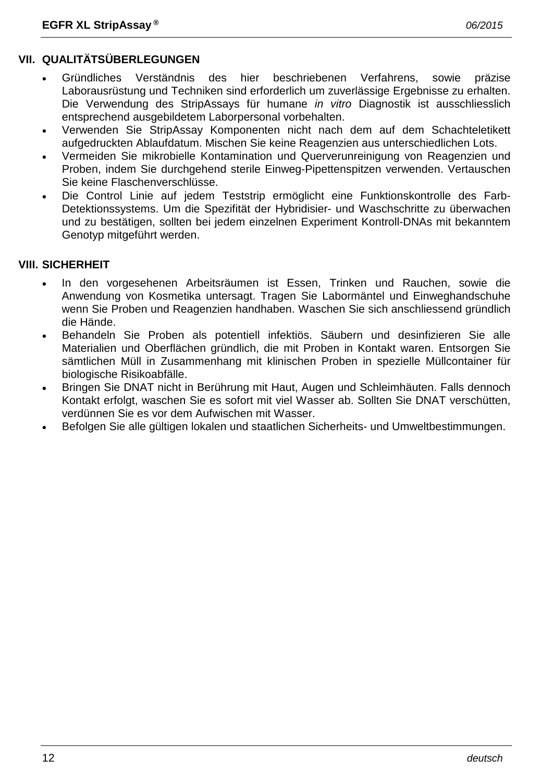- Gründliches Verständnis des hier beschriebenen Verfahrens, sowie präzise Laborausrüstung und Techniken sind erforderlich um zuverlässige Ergebnisse zu erhalten. Die Verwendung des StripAssays für humane *in vitro* Diagnostik ist ausschliesslich entsprechend ausgebildetem Laborpersonal vorbehalten.
- Verwenden Sie StripAssay Komponenten nicht nach dem auf dem Schachteletikett aufgedruckten Ablaufdatum. Mischen Sie keine Reagenzien aus unterschiedlichen Lots.
- Vermeiden Sie mikrobielle Kontamination und Querverunreinigung von Reagenzien und Proben, indem Sie durchgehend sterile Einweg-Pipettenspitzen verwenden. Vertauschen Sie keine Flaschenverschlüsse.
- Die Control Linie auf jedem Teststrip ermöglicht eine Funktionskontrolle des Farb-Detektionssystems. Um die Spezifität der Hybridisier- und Waschschritte zu überwachen und zu bestätigen, sollten bei jedem einzelnen Experiment Kontroll-DNAs mit bekanntem Genotyp mitgeführt werden.

# **VIII. SICHERHEIT**

- In den vorgesehenen Arbeitsräumen ist Essen, Trinken und Rauchen, sowie die Anwendung von Kosmetika untersagt. Tragen Sie Labormäntel und Einweghandschuhe wenn Sie Proben und Reagenzien handhaben. Waschen Sie sich anschliessend gründlich die Hände.
- Behandeln Sie Proben als potentiell infektiös. Säubern und desinfizieren Sie alle Materialien und Oberflächen gründlich, die mit Proben in Kontakt waren. Entsorgen Sie sämtlichen Müll in Zusammenhang mit klinischen Proben in spezielle Müllcontainer für biologische Risikoabfälle.
- Bringen Sie DNAT nicht in Berührung mit Haut, Augen und Schleimhäuten. Falls dennoch Kontakt erfolgt, waschen Sie es sofort mit viel Wasser ab. Sollten Sie DNAT verschütten, verdünnen Sie es vor dem Aufwischen mit Wasser.
- Befolgen Sie alle gültigen lokalen und staatlichen Sicherheits- und Umweltbestimmungen.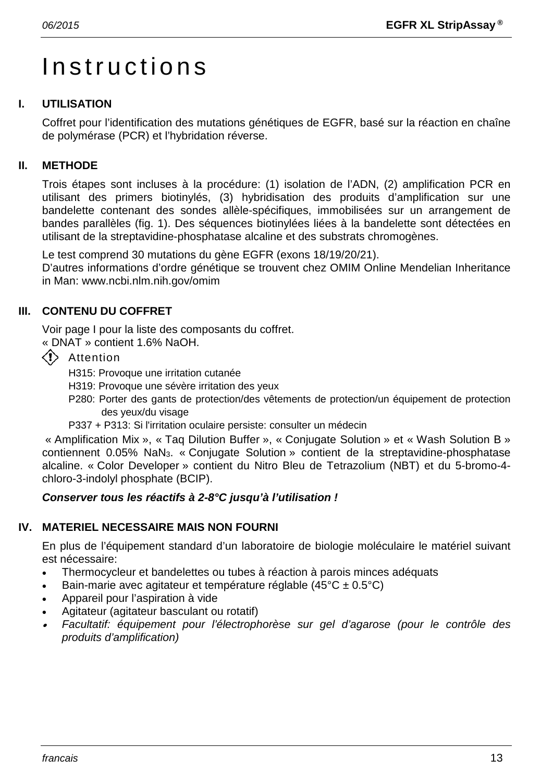# Instructions

# **I. UTILISATION**

Coffret pour l'identification des mutations génétiques de EGFR, basé sur la réaction en chaîne de polymérase (PCR) et l'hybridation réverse.

# **II. METHODE**

Trois étapes sont incluses à la procédure: (1) isolation de l'ADN, (2) amplification PCR en utilisant des primers biotinylés, (3) hybridisation des produits d'amplification sur une bandelette contenant des sondes allèle-spécifiques, immobilisées sur un arrangement de bandes parallèles (fig. 1). Des séquences biotinylées liées à la bandelette sont détectées en utilisant de la streptavidine-phosphatase alcaline et des substrats chromogènes.

Le test comprend 30 mutations du gène EGFR (exons 18/19/20/21).

D'autres informations d'ordre génétique se trouvent chez OMIM Online Mendelian Inheritance in Man: www.ncbi.nlm.nih.gov/omim

# **III. CONTENU DU COFFRET**

Voir page I pour la liste des composants du coffret.

« DNAT » contient 1.6% NaOH.

 $\langle \cdot \rangle$  Attention

H315: Provoque une irritation cutanée

- H319: Provoque une sévère irritation des yeux
- P280: Porter des gants de protection/des vêtements de protection/un équipement de protection des yeux/du visage
- P337 + P313: Si l'irritation oculaire persiste: consulter un médecin

« Amplification Mix », « Taq Dilution Buffer », « Conjugate Solution » et « Wash Solution B » contiennent 0.05% NaN3. « Conjugate Solution » contient de la streptavidine-phosphatase alcaline. « Color Developer » contient du Nitro Bleu de Tetrazolium (NBT) et du 5-bromo-4 chloro-3-indolyl phosphate (BCIP).

# *Conserver tous les réactifs à 2-8°C jusqu'à l'utilisation !*

# **IV. MATERIEL NECESSAIRE MAIS NON FOURNI**

En plus de l'équipement standard d'un laboratoire de biologie moléculaire le matériel suivant est nécessaire:

- Thermocycleur et bandelettes ou tubes à réaction à parois minces adéquats
- Bain-marie avec agitateur et température réglable  $(45^{\circ}C \pm 0.5^{\circ}C)$
- Appareil pour l'aspiration à vide
- Agitateur (agitateur basculant ou rotatif)
- • *Facultatif: équipement pour l'électrophorèse sur gel d'agarose (pour le contrôle des produits d'amplification)*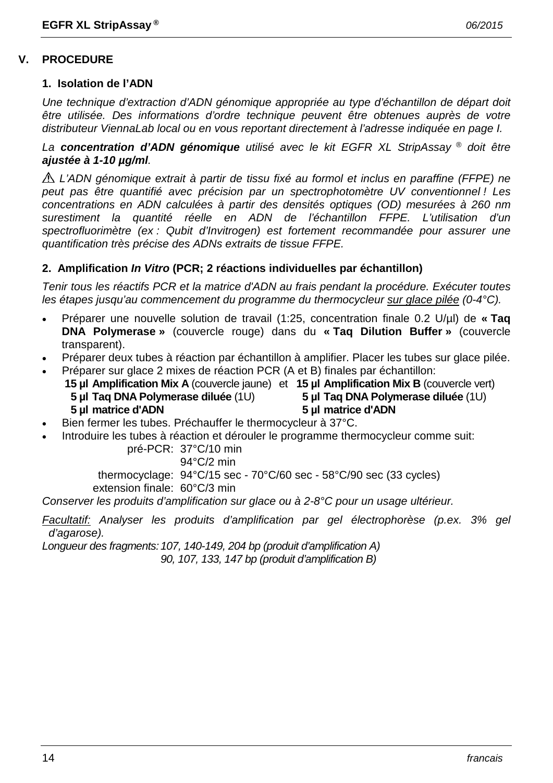#### **V. PROCEDURE**

#### **1. Isolation de l'ADN**

*Une technique d'extraction d'ADN génomique appropriée au type d'échantillon de départ doit être utilisée. Des informations d'ordre technique peuvent être obtenues auprès de votre distributeur ViennaLab local ou en vous reportant directement à l'adresse indiquée en page I.*

*La concentration d'ADN génomique utilisé avec le kit EGFR XL StripAssay ® doit être ajustée à 1-10 µg/ml.*

*L'ADN génomique extrait à partir de tissu fixé au formol et inclus en paraffine (FFPE) ne peut pas être quantifié avec précision par un spectrophotomètre UV conventionnel ! Les concentrations en ADN calculées à partir des densités optiques (OD) mesurées à 260 nm surestiment la quantité réelle en ADN de l'échantillon FFPE. L'utilisation d'un spectrofluorimètre (ex : Qubit d'Invitrogen) est fortement recommandée pour assurer une quantification très précise des ADNs extraits de tissue FFPE.*

#### **2. Amplification** *In Vitro* **(PCR; 2 réactions individuelles par échantillon)**

*Tenir tous les réactifs PCR et la matrice d'ADN au frais pendant la procédure. Exécuter toutes les étapes jusqu'au commencement du programme du thermocycleur sur glace pilée (0-4°C).*

- Préparer une nouvelle solution de travail (1:25, concentration finale 0.2 U/µl) de **« Taq DNA Polymerase »** (couvercle rouge) dans du **« Taq Dilution Buffer »** (couvercle transparent).
- Préparer deux tubes à réaction par échantillon à amplifier. Placer les tubes sur glace pilée.
- Préparer sur glace 2 mixes de réaction PCR (A et B) finales par échantillon: **15 µl Amplification Mix A** (couvercle jaune) et **15 µl Amplification Mix B** (couvercle vert) **5 µl Taq DNA Polymerase diluée** (1U) **5 µl Taq DNA Polymerase diluée** (1U) **5 µl matrice d'ADN 5 µl matrice d'ADN**
- Bien fermer les tubes. Préchauffer le thermocycleur à 37°C.
- Introduire les tubes à réaction et dérouler le programme thermocycleur comme suit:

pré-PCR: 37°C/10 min

94°C/2 min

thermocyclage: 94°C/15 sec - 70°C/60 sec - 58°C/90 sec (33 cycles) extension finale: 60°C/3 min

*Conserver les produits d'amplification sur glace ou à 2-8°C pour un usage ultérieur.*

*Facultatif: Analyser les produits d'amplification par gel électrophorèse (p.ex. 3% gel d'agarose).*

*Longueur des fragments:107, 140-149, 204 bp (produit d'amplification A)*

*90, 107, 133, 147 bp (produit d'amplification B)*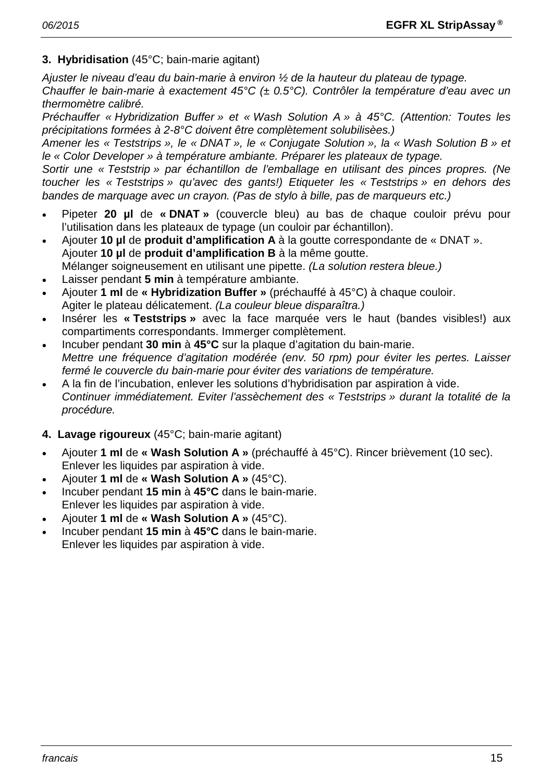# **3. Hybridisation** (45°C; bain-marie agitant)

*Ajuster le niveau d'eau du bain-marie à environ ½ de la hauteur du plateau de typage. Chauffer le bain-marie à exactement 45°C (± 0.5°C). Contrôler la température d'eau avec un thermomètre calibré.*

*Préchauffer « Hybridization Buffer » et « Wash Solution A » à 45°C. (Attention: Toutes les précipitations formées à 2-8°C doivent être complètement solubilisèes.)*

*Amener les « Teststrips », le « DNAT », le « Conjugate Solution », la « Wash Solution B » et le « Color Developer » à température ambiante. Préparer les plateaux de typage.*

*Sortir une « Teststrip » par échantillon de l'emballage en utilisant des pinces propres. (Ne toucher les « Teststrips » qu'avec des gants!) Etiqueter les « Teststrips » en dehors des bandes de marquage avec un crayon. (Pas de stylo à bille, pas de marqueurs etc.)*

- Pipeter **20 µl** de **« DNAT »** (couvercle bleu) au bas de chaque couloir prévu pour l'utilisation dans les plateaux de typage (un couloir par échantillon).
- Ajouter **10 µl** de **produit d'amplification A** à la goutte correspondante de « DNAT ». Ajouter **10 µl** de **produit d'amplification B** à la même goutte. Mélanger soigneusement en utilisant une pipette. *(La solution restera bleue.)*
- Laisser pendant **5 min** à température ambiante.
- Ajouter **1 ml** de **« Hybridization Buffer »** (préchauffé à 45°C) à chaque couloir. Agiter le plateau délicatement. *(La couleur bleue disparaîtra.)*
- Insérer les **« Teststrips »** avec la face marquée vers le haut (bandes visibles!) aux compartiments correspondants. Immerger complètement.
- Incuber pendant **30 min** à **45°C** sur la plaque d'agitation du bain-marie. *Mettre une fréquence d'agitation modérée (env. 50 rpm) pour éviter les pertes. Laisser fermé le couvercle du bain-marie pour éviter des variations de température.*
- A la fin de l'incubation, enlever les solutions d'hybridisation par aspiration à vide. *Continuer immédiatement. Eviter l'assèchement des « Teststrips » durant la totalité de la procédure.*

# **4. Lavage rigoureux** (45°C; bain-marie agitant)

- Ajouter **1 ml** de **« Wash Solution A »** (préchauffé à 45°C). Rincer brièvement (10 sec). Enlever les liquides par aspiration à vide.
- Ajouter **1 ml** de **« Wash Solution A »** (45°C).
- Incuber pendant **15 min** à **45°C** dans le bain-marie. Enlever les liquides par aspiration à vide.
- Ajouter **1 ml** de **« Wash Solution A »** (45°C).
- Incuber pendant **15 min** à **45°C** dans le bain-marie. Enlever les liquides par aspiration à vide.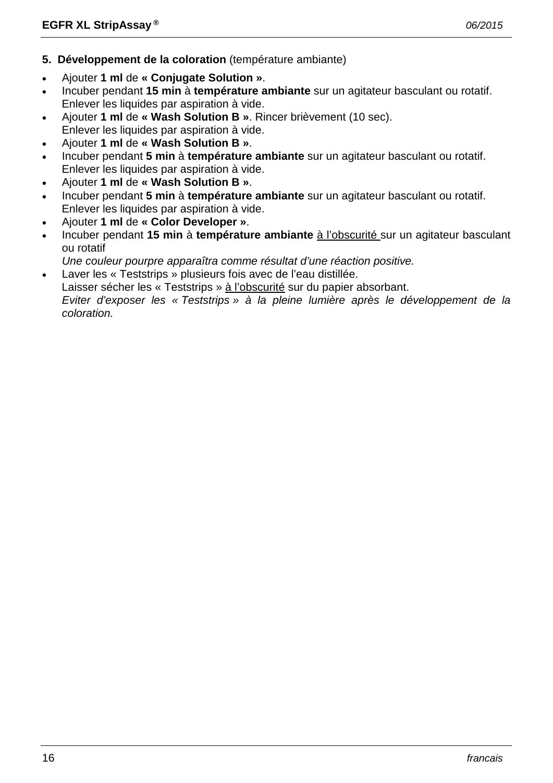- **5. Développement de la coloration** (température ambiante)
- Ajouter **1 ml** de **« Conjugate Solution »**.
- Incuber pendant **15 min** à **température ambiante** sur un agitateur basculant ou rotatif. Enlever les liquides par aspiration à vide.
- Ajouter **1 ml** de **« Wash Solution B »**. Rincer brièvement (10 sec). Enlever les liquides par aspiration à vide.
- Ajouter **1 ml** de **« Wash Solution B »**.
- Incuber pendant **5 min** à **température ambiante** sur un agitateur basculant ou rotatif. Enlever les liquides par aspiration à vide.
- Ajouter **1 ml** de **« Wash Solution B »**.
- Incuber pendant **5 min** à **température ambiante** sur un agitateur basculant ou rotatif. Enlever les liquides par aspiration à vide.
- Ajouter **1 ml** de **« Color Developer »**.
- Incuber pendant **15 min** à **température ambiante** à l'obscurité sur un agitateur basculant ou rotatif
- *Une couleur pourpre apparaîtra comme résultat d'une réaction positive.*
- Laver les « Teststrips » plusieurs fois avec de l'eau distillée.

Laisser sécher les « Teststrips » à l'obscurité sur du papier absorbant.

*Eviter d'exposer les « Teststrips » à la pleine lumière après le développement de la coloration.*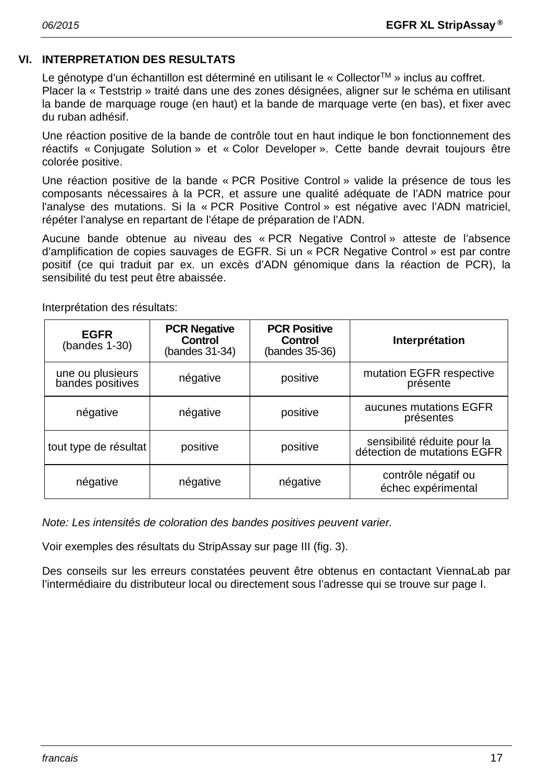# **VI. INTERPRETATION DES RESULTATS**

Le génotype d'un échantillon est déterminé en utilisant le « Collector™ » inclus au coffret. Placer la « Teststrip » traité dans une des zones désignées, aligner sur le schéma en utilisant la bande de marquage rouge (en haut) et la bande de marquage verte (en bas), et fixer avec du ruban adhésif.

Une réaction positive de la bande de contrôle tout en haut indique le bon fonctionnement des réactifs « Conjugate Solution » et « Color Developer ». Cette bande devrait toujours être colorée positive.

Une réaction positive de la bande « PCR Positive Control » valide la présence de tous les composants nécessaires à la PCR, et assure une qualité adéquate de l'ADN matrice pour l'analyse des mutations. Si la « PCR Positive Control » est négative avec l'ADN matriciel, répéter l'analyse en repartant de l'étape de préparation de l'ADN.

Aucune bande obtenue au niveau des « PCR Negative Control » atteste de l'absence d'amplification de copies sauvages de EGFR. Si un « PCR Negative Control » est par contre positif (ce qui traduit par ex. un excès d'ADN génomique dans la réaction de PCR), la sensibilité du test peut être abaissée.

| <b>EGFR</b><br>$(bandes 1-30)$       | <b>PCR Negative</b><br><b>Control</b><br>(bandes 31-34) | <b>PCR Positive</b><br>Control<br>(bandes 35-36) | Interprétation                                             |
|--------------------------------------|---------------------------------------------------------|--------------------------------------------------|------------------------------------------------------------|
| une ou plusieurs<br>bandes positives | négative                                                | positive                                         | mutation EGFR respective<br>présente                       |
| négative                             | négative                                                | positive                                         | aucunes mutations EGFR<br>présentes                        |
| tout type de résultat                | positive                                                | positive                                         | sensibilité réduite pour la<br>détection de mutations EGFR |
| négative                             | négative                                                | négative                                         | contrôle négatif ou<br>échec expérimental                  |

Interprétation des résultats:

*Note: Les intensités de coloration des bandes positives peuvent varier.*

Voir exemples des résultats du StripAssay sur page III (fig. 3).

Des conseils sur les erreurs constatées peuvent être obtenus en contactant ViennaLab par l'intermédiaire du distributeur local ou directement sous l'adresse qui se trouve sur page I.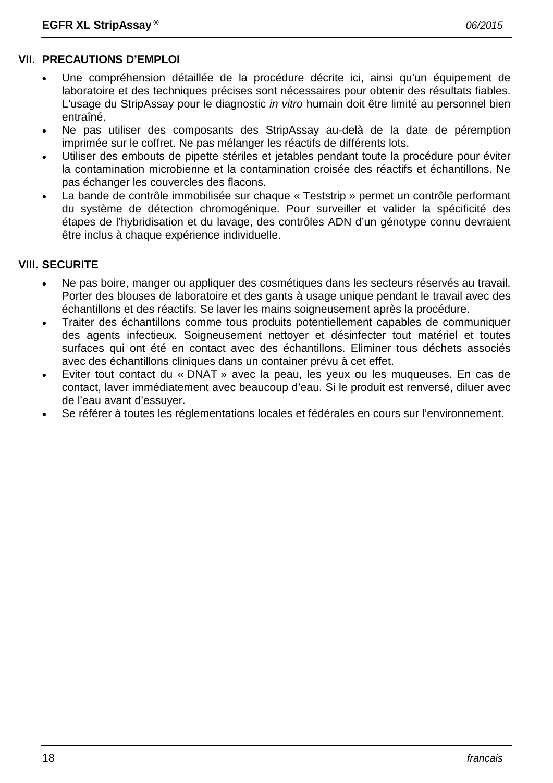# **VII. PRECAUTIONS D'EMPLOI**

- Une compréhension détaillée de la procédure décrite ici, ainsi qu'un équipement de laboratoire et des techniques précises sont nécessaires pour obtenir des résultats fiables. L'usage du StripAssay pour le diagnostic *in vitro* humain doit être limité au personnel bien entraîné.
- Ne pas utiliser des composants des StripAssay au-delà de la date de péremption imprimée sur le coffret. Ne pas mélanger les réactifs de différents lots.
- Utiliser des embouts de pipette stériles et jetables pendant toute la procédure pour éviter la contamination microbienne et la contamination croisée des réactifs et échantillons. Ne pas échanger les couvercles des flacons.
- La bande de contrôle immobilisée sur chaque « Teststrip » permet un contrôle performant du système de détection chromogénique. Pour surveiller et valider la spécificité des étapes de l'hybridisation et du lavage, des contrôles ADN d'un génotype connu devraient être inclus à chaque expérience individuelle.

# **VIII. SECURITE**

- Ne pas boire, manger ou appliquer des cosmétiques dans les secteurs réservés au travail. Porter des blouses de laboratoire et des gants à usage unique pendant le travail avec des échantillons et des réactifs. Se laver les mains soigneusement après la procédure.
- Traiter des échantillons comme tous produits potentiellement capables de communiquer des agents infectieux. Soigneusement nettoyer et désinfecter tout matériel et toutes surfaces qui ont été en contact avec des échantillons. Eliminer tous déchets associés avec des échantillons cliniques dans un container prévu à cet effet.
- Eviter tout contact du « DNAT » avec la peau, les yeux ou les muqueuses. En cas de contact, laver immédiatement avec beaucoup d'eau. Si le produit est renversé, diluer avec de l'eau avant d'essuyer.
- Se référer à toutes les réglementations locales et fédérales en cours sur l'environnement.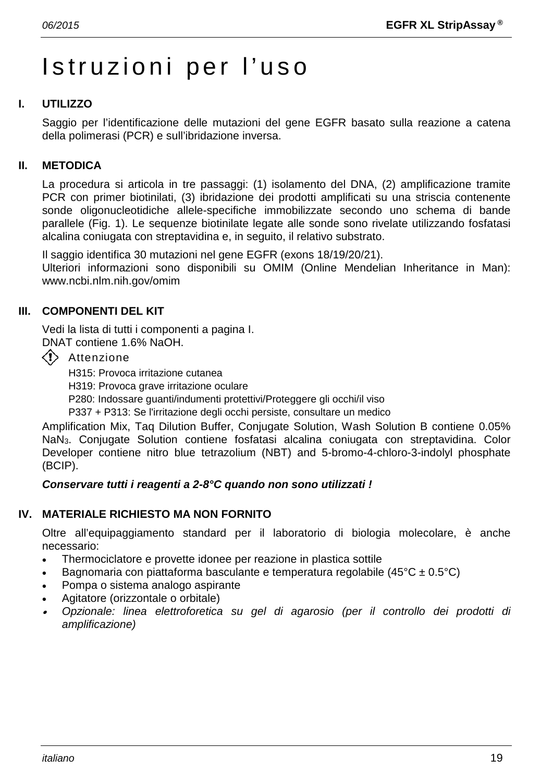# Istruzioni per l'uso

# **I. UTILIZZO**

Saggio per l'identificazione delle mutazioni del gene EGFR basato sulla reazione a catena della polimerasi (PCR) e sull'ibridazione inversa.

# **II. METODICA**

La procedura si articola in tre passaggi: (1) isolamento del DNA, (2) amplificazione tramite PCR con primer biotinilati, (3) ibridazione dei prodotti amplificati su una striscia contenente sonde oligonucleotidiche allele-specifiche immobilizzate secondo uno schema di bande parallele (Fig. 1). Le sequenze biotinilate legate alle sonde sono rivelate utilizzando fosfatasi alcalina coniugata con streptavidina e, in seguito, il relativo substrato.

Il saggio identifica 30 mutazioni nel gene EGFR (exons 18/19/20/21).

Ulteriori informazioni sono disponibili su OMIM (Online Mendelian Inheritance in Man): www.ncbi.nlm.nih.gov/omim

# **III. COMPONENTI DEL KIT**

Vedi la lista di tutti i componenti a pagina I.

DNAT contiene 1.6% NaOH.

 $\langle \cdot \rangle$  Attenzione

H315: Provoca irritazione cutanea

H319: Provoca grave irritazione oculare

P280: Indossare guanti/indumenti protettivi/Proteggere gli occhi/il viso

P337 + P313: Se l'irritazione degli occhi persiste, consultare un medico

Amplification Mix, Taq Dilution Buffer, Conjugate Solution, Wash Solution B contiene 0.05% NaN3. Conjugate Solution contiene fosfatasi alcalina coniugata con streptavidina. Color Developer contiene nitro blue tetrazolium (NBT) and 5-bromo-4-chloro-3-indolyl phosphate (BCIP).

# *Conservare tutti i reagenti a 2-8°C quando non sono utilizzati !*

# **IV. MATERIALE RICHIESTO MA NON FORNITO**

Oltre all'equipaggiamento standard per il laboratorio di biologia molecolare, è anche necessario:

- Thermociclatore e provette idonee per reazione in plastica sottile
- Bagnomaria con piattaforma basculante e temperatura regolabile (45 $^{\circ}$ C ± 0.5 $^{\circ}$ C)
- Pompa o sistema analogo aspirante
- Agitatore (orizzontale o orbitale)
- • *Opzionale: linea elettroforetica su gel di agarosio (per il controllo dei prodotti di amplificazione)*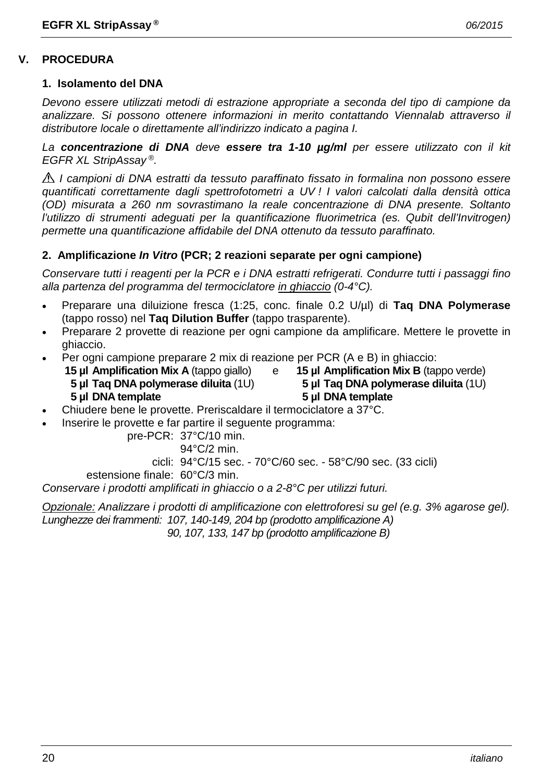# **V. PROCEDURA**

# **1. Isolamento del DNA**

*Devono essere utilizzati metodi di estrazione appropriate a seconda del tipo di campione da analizzare. Si possono ottenere informazioni in merito contattando Viennalab attraverso il distributore locale o direttamente all'indirizzo indicato a pagina I.*

*La concentrazione di DNA deve essere tra 1-10 µg/ml per essere utilizzato con il kit EGFR XL StripAssay ®.*

*I campioni di DNA estratti da tessuto paraffinato fissato in formalina non possono essere quantificati correttamente dagli spettrofotometri a UV ! I valori calcolati dalla densità ottica (OD) misurata a 260 nm sovrastimano la reale concentrazione di DNA presente. Soltanto*  l'utilizzo di strumenti adeguati per la quantificazione fluorimetrica (es. Qubit dell'Invitrogen) *permette una quantificazione affidabile del DNA ottenuto da tessuto paraffinato.*

# **2. Amplificazione** *In Vitro* **(PCR; 2 reazioni separate per ogni campione)**

*Conservare tutti i reagenti per la PCR e i DNA estratti refrigerati. Condurre tutti i passaggi fino alla partenza del programma del termociclatore in ghiaccio (0-4°C).*

- Preparare una diluizione fresca (1:25, conc. finale 0.2 U/µl) di **Taq DNA Polymerase** (tappo rosso) nel **Taq Dilution Buffer** (tappo trasparente).
- Preparare 2 provette di reazione per ogni campione da amplificare. Mettere le provette in ghiaccio.
- Per ogni campione preparare 2 mix di reazione per PCR (A e B) in ghiaccio:
	- **15 µl Amplification Mix A** (tappo giallo) e **15 µl Amplification Mix B** (tappo verde) **5 µl Taq DNA polymerase diluita** (1U) **5 µl Taq DNA polymerase diluita** (1U) **5 µl DNA template 5 µl DNA template**

- Chiudere bene le provette. Preriscaldare il termociclatore a 37°C.
- Inserire le provette e far partire il seguente programma:

pre-PCR: 37°C/10 min.

94°C/2 min.

cicli: 94°C/15 sec. - 70°C/60 sec. - 58°C/90 sec. (33 cicli)

estensione finale: 60°C/3 min.

*Conservare i prodotti amplificati in ghiaccio o a 2-8°C per utilizzi futuri.*

*Opzionale: Analizzare i prodotti di amplificazione con elettroforesi su gel (e.g. 3% agarose gel). Lunghezze dei frammenti: 107, 140-149, 204 bp (prodotto amplificazione A) 90, 107, 133, 147 bp (prodotto amplificazione B)*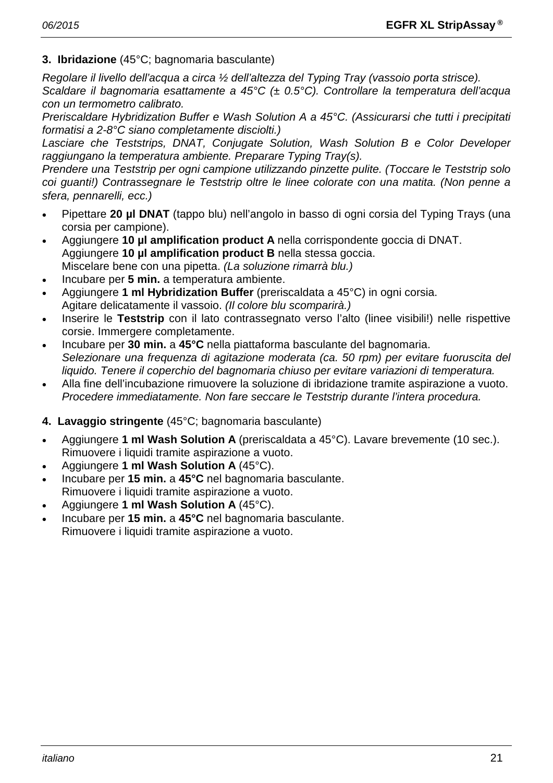# **3. Ibridazione** (45°C; bagnomaria basculante)

*Regolare il livello dell'acqua a circa ½ dell'altezza del Typing Tray (vassoio porta strisce). Scaldare il bagnomaria esattamente a 45°C (± 0.5°C). Controllare la temperatura dell'acqua con un termometro calibrato.*

*Preriscaldare Hybridization Buffer e Wash Solution A a 45°C. (Assicurarsi che tutti i precipitati formatisi a 2-8°C siano completamente disciolti.)*

*Lasciare che Teststrips, DNAT, Conjugate Solution, Wash Solution B e Color Developer raggiungano la temperatura ambiente. Preparare Typing Tray(s).*

*Prendere una Teststrip per ogni campione utilizzando pinzette pulite. (Toccare le Teststrip solo coi guanti!) Contrassegnare le Teststrip oltre le linee colorate con una matita. (Non penne a sfera, pennarelli, ecc.)*

- Pipettare **20 µl DNAT** (tappo blu) nell'angolo in basso di ogni corsia del Typing Trays (una corsia per campione).
- Aggiungere **10 µl amplification product A** nella corrispondente goccia di DNAT. Aggiungere **10 µl amplification product B** nella stessa goccia. Miscelare bene con una pipetta. *(La soluzione rimarrà blu.)*
- Incubare per **5 min.** a temperatura ambiente.
- Aggiungere **1 ml Hybridization Buffer** (preriscaldata a 45°C) in ogni corsia. Agitare delicatamente il vassoio. *(Il colore blu scomparirà.)*
- Inserire le **Teststrip** con il lato contrassegnato verso l'alto (linee visibili!) nelle rispettive corsie. Immergere completamente.
- Incubare per **30 min.** a **45°C** nella piattaforma basculante del bagnomaria. *Selezionare una frequenza di agitazione moderata (ca. 50 rpm) per evitare fuoruscita del liquido. Tenere il coperchio del bagnomaria chiuso per evitare variazioni di temperatura.*
- Alla fine dell'incubazione rimuovere la soluzione di ibridazione tramite aspirazione a vuoto. *Procedere immediatamente. Non fare seccare le Teststrip durante l'intera procedura.*

# **4. Lavaggio stringente** (45°C; bagnomaria basculante)

- Aggiungere **1 ml Wash Solution A** (preriscaldata a 45°C). Lavare brevemente (10 sec.). Rimuovere i liquidi tramite aspirazione a vuoto.
- Aggiungere **1 ml Wash Solution A** (45°C).
- Incubare per **15 min.** a **45°C** nel bagnomaria basculante. Rimuovere i liquidi tramite aspirazione a vuoto.
- Aggiungere **1 ml Wash Solution A** (45°C).
- Incubare per **15 min.** a **45°C** nel bagnomaria basculante. Rimuovere i liquidi tramite aspirazione a vuoto.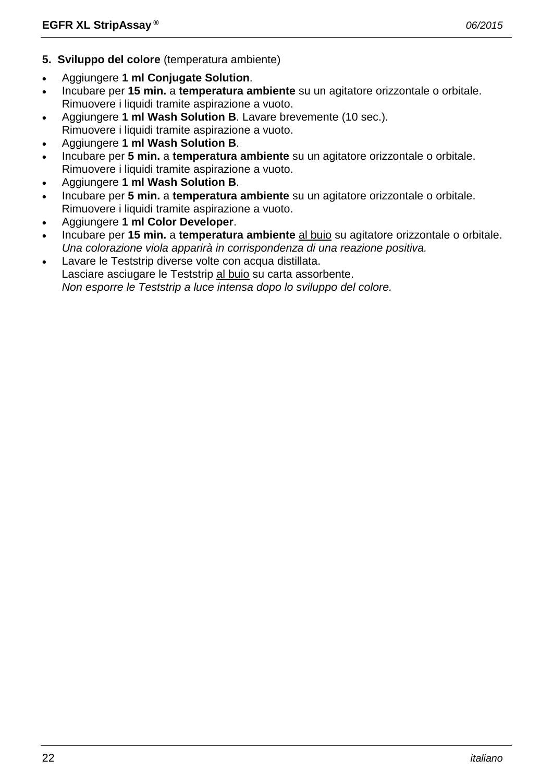- **5. Sviluppo del colore** (temperatura ambiente)
- Aggiungere **1 ml Conjugate Solution**.
- Incubare per **15 min.** a **temperatura ambiente** su un agitatore orizzontale o orbitale. Rimuovere i liquidi tramite aspirazione a vuoto.
- Aggiungere **1 ml Wash Solution B**. Lavare brevemente (10 sec.). Rimuovere i liquidi tramite aspirazione a vuoto.
- Aggiungere **1 ml Wash Solution B**.
- Incubare per **5 min.** a **temperatura ambiente** su un agitatore orizzontale o orbitale. Rimuovere i liquidi tramite aspirazione a vuoto.
- Aggiungere **1 ml Wash Solution B**.
- Incubare per **5 min.** a **temperatura ambiente** su un agitatore orizzontale o orbitale. Rimuovere i liquidi tramite aspirazione a vuoto.
- Aggiungere **1 ml Color Developer**.
- Incubare per **15 min.** a **temperatura ambiente** al buio su agitatore orizzontale o orbitale. *Una colorazione viola apparirà in corrispondenza di una reazione positiva.*
- Lavare le Teststrip diverse volte con acqua distillata. Lasciare asciugare le Teststrip al buio su carta assorbente. *Non esporre le Teststrip a luce intensa dopo lo sviluppo del colore.*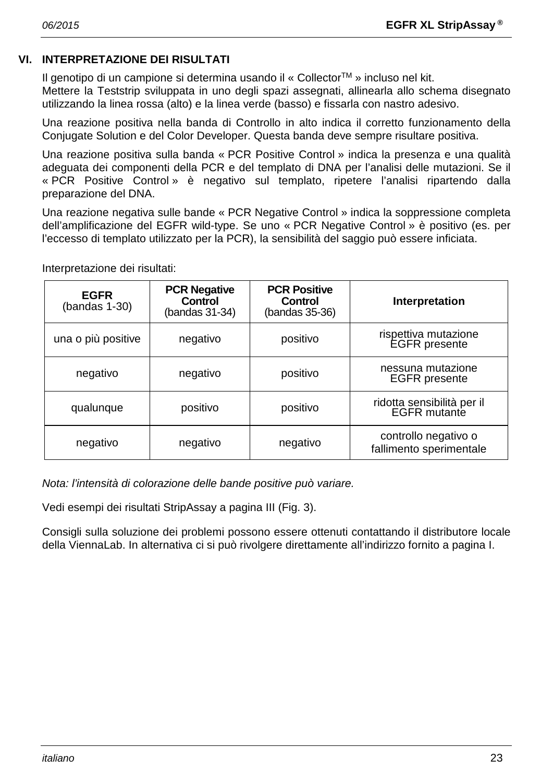# **VI. INTERPRETAZIONE DEI RISULTATI**

Il genotipo di un campione si determina usando il « Collector™ » incluso nel kit.

Mettere la Teststrip sviluppata in uno degli spazi assegnati, allinearla allo schema disegnato utilizzando la linea rossa (alto) e la linea verde (basso) e fissarla con nastro adesivo.

Una reazione positiva nella banda di Controllo in alto indica il corretto funzionamento della Conjugate Solution e del Color Developer. Questa banda deve sempre risultare positiva.

Una reazione positiva sulla banda « PCR Positive Control » indica la presenza e una qualità adeguata dei componenti della PCR e del templato di DNA per l'analisi delle mutazioni. Se il « PCR Positive Control » è negativo sul templato, ripetere l'analisi ripartendo dalla preparazione del DNA.

Una reazione negativa sulle bande « PCR Negative Control » indica la soppressione completa dell'amplificazione del EGFR wild-type. Se uno « PCR Negative Control » è positivo (es. per l'eccesso di templato utilizzato per la PCR), la sensibilità del saggio può essere inficiata.

| <b>EGFR</b><br>(bandas 1-30) | <b>PCR Negative</b><br><b>Control</b><br>(bandas 31-34) | <b>PCR Positive</b><br><b>Control</b><br>(bandas 35-36) | Interpretation                                    |
|------------------------------|---------------------------------------------------------|---------------------------------------------------------|---------------------------------------------------|
| una o più positive           | negativo                                                | positivo                                                | rispettiva mutazione<br><b>EGFR</b> presente      |
| negativo                     | negativo                                                | positivo                                                | nessuna mutazione<br><b>EGFR</b> presente         |
| qualunque                    | positivo                                                | positivo                                                | ridotta sensibilità per il<br><b>EGFR</b> mutante |
| negativo                     | negativo                                                | negativo                                                | controllo negativo o<br>fallimento sperimentale   |

Interpretazione dei risultati:

*Nota: l'intensità di colorazione delle bande positive può variare.*

Vedi esempi dei risultati StripAssay a pagina III (Fig. 3).

Consigli sulla soluzione dei problemi possono essere ottenuti contattando il distributore locale della ViennaLab. In alternativa ci si può rivolgere direttamente all'indirizzo fornito a pagina I.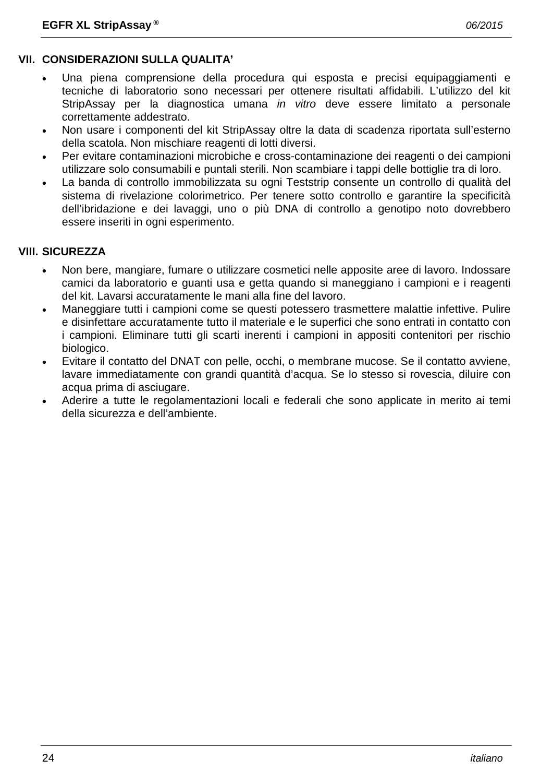# **VII. CONSIDERAZIONI SULLA QUALITA'**

- Una piena comprensione della procedura qui esposta e precisi equipaggiamenti e tecniche di laboratorio sono necessari per ottenere risultati affidabili. L'utilizzo del kit StripAssay per la diagnostica umana *in vitro* deve essere limitato a personale correttamente addestrato.
- Non usare i componenti del kit StripAssay oltre la data di scadenza riportata sull'esterno della scatola. Non mischiare reagenti di lotti diversi.
- Per evitare contaminazioni microbiche e cross-contaminazione dei reagenti o dei campioni utilizzare solo consumabili e puntali sterili. Non scambiare i tappi delle bottiglie tra di loro.
- La banda di controllo immobilizzata su ogni Teststrip consente un controllo di qualità del sistema di rivelazione colorimetrico. Per tenere sotto controllo e garantire la specificità dell'ibridazione e dei lavaggi, uno o più DNA di controllo a genotipo noto dovrebbero essere inseriti in ogni esperimento.

# **VIII. SICUREZZA**

- Non bere, mangiare, fumare o utilizzare cosmetici nelle apposite aree di lavoro. Indossare camici da laboratorio e guanti usa e getta quando si maneggiano i campioni e i reagenti del kit. Lavarsi accuratamente le mani alla fine del lavoro.
- Maneggiare tutti i campioni come se questi potessero trasmettere malattie infettive. Pulire e disinfettare accuratamente tutto il materiale e le superfici che sono entrati in contatto con i campioni. Eliminare tutti gli scarti inerenti i campioni in appositi contenitori per rischio biologico.
- Evitare il contatto del DNAT con pelle, occhi, o membrane mucose. Se il contatto avviene, lavare immediatamente con grandi quantità d'acqua. Se lo stesso si rovescia, diluire con acqua prima di asciugare.
- Aderire a tutte le regolamentazioni locali e federali che sono applicate in merito ai temi della sicurezza e dell'ambiente.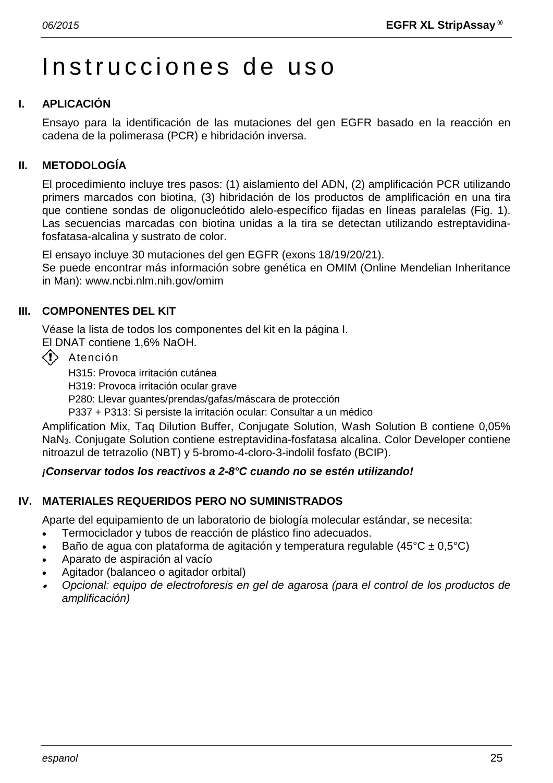# Instrucciones de uso

# **I. APLICACIÓN**

Ensayo para la identificación de las mutaciones del gen EGFR basado en la reacción en cadena de la polimerasa (PCR) e hibridación inversa.

# **II. METODOLOGÍA**

El procedimiento incluye tres pasos: (1) aislamiento del ADN, (2) amplificación PCR utilizando primers marcados con biotina, (3) hibridación de los productos de amplificación en una tira que contiene sondas de oligonucleótido alelo-específico fijadas en líneas paralelas (Fig. 1). Las secuencias marcadas con biotina unidas a la tira se detectan utilizando estreptavidinafosfatasa-alcalina y sustrato de color.

El ensayo incluye 30 mutaciones del gen EGFR (exons 18/19/20/21).

Se puede encontrar más información sobre genética en OMIM (Online Mendelian Inheritance in Man): www.ncbi.nlm.nih.gov/omim

# **III. COMPONENTES DEL KIT**

Véase la lista de todos los componentes del kit en la página I.

El DNAT contiene 1,6% NaOH.

 $\langle \cdot \rangle$  Atención

H315: Provoca irritación cutánea

H319: Provoca irritación ocular grave

P280: Llevar guantes/prendas/gafas/máscara de protección

P337 + P313: Si persiste la irritación ocular: Consultar a un médico

Amplification Mix, Taq Dilution Buffer, Conjugate Solution, Wash Solution B contiene 0,05% NaN3. Conjugate Solution contiene estreptavidina-fosfatasa alcalina. Color Developer contiene nitroazul de tetrazolio (NBT) y 5-bromo-4-cloro-3-indolil fosfato (BCIP).

# *¡Conservar todos los reactivos a 2-8°C cuando no se estén utilizando!*

# **IV. MATERIALES REQUERIDOS PERO NO SUMINISTRADOS**

Aparte del equipamiento de un laboratorio de biología molecular estándar, se necesita:

- Termociclador y tubos de reacción de plástico fino adecuados.
- Baño de agua con plataforma de agitación y temperatura regulable (45 $^{\circ}$ C ± 0,5 $^{\circ}$ C)
- Aparato de aspiración al vacío
- Agitador (balanceo o agitador orbital)
- • *Opcional: equipo de electroforesis en gel de agarosa (para el control de los productos de amplificación)*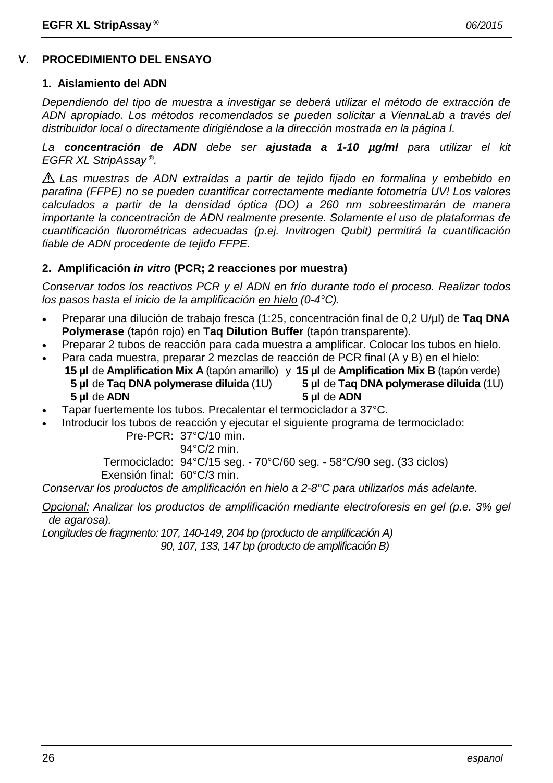# **V. PROCEDIMIENTO DEL ENSAYO**

#### **1. Aislamiento del ADN**

*Dependiendo del tipo de muestra a investigar se deberá utilizar el método de extracción de ADN apropiado. Los métodos recomendados se pueden solicitar a ViennaLab a través del distribuidor local o directamente dirigiéndose a la dirección mostrada en la página I.*

*La concentración de ADN debe ser ajustada a 1-10 µg/ml para utilizar el kit EGFR XL StripAssay ®.*

*Las muestras de ADN extraídas a partir de tejido fijado en formalina y embebido en parafina (FFPE) no se pueden cuantificar correctamente mediante fotometría UV! Los valores calculados a partir de la densidad óptica (DO) a 260 nm sobreestimarán de manera importante la concentración de ADN realmente presente. Solamente el uso de plataformas de cuantificación fluorométricas adecuadas (p.ej. Invitrogen Qubit) permitirá la cuantificación fiable de ADN procedente de tejido FFPE.*

# **2. Amplificación** *in vitro* **(PCR; 2 reacciones por muestra)**

*Conservar todos los reactivos PCR y el ADN en frío durante todo el proceso. Realizar todos los pasos hasta el inicio de la amplificación en hielo (0-4°C).*

- Preparar una dilución de trabajo fresca (1:25, concentración final de 0,2 U/µl) de **Taq DNA Polymerase** (tapón rojo) en **Taq Dilution Buffer** (tapón transparente).
- Preparar 2 tubos de reacción para cada muestra a amplificar. Colocar los tubos en hielo.
- Para cada muestra, preparar 2 mezclas de reacción de PCR final (A y B) en el hielo: **15 µl** de **Amplification Mix A** (tapón amarillo) y **15 µl** de **Amplification Mix B** (tapón verde) **5 µl** de **Taq DNA polymerase diluida** (1U) **5 µl** de **Taq DNA polymerase diluida** (1U) **5 µl** de **ADN 5 µl** de **ADN**
- Tapar fuertemente los tubos. Precalentar el termociclador a 37°C.
- Introducir los tubos de reacción y ejecutar el siguiente programa de termociclado:

Pre-PCR: 37°C/10 min.

94°C/2 min.

Termociclado: 94°C/15 seg. - 70°C/60 seg. - 58°C/90 seg. (33 ciclos)

Exensión final: 60°C/3 min.

*Conservar los productos de amplificación en hielo a 2-8°C para utilizarlos más adelante.*

*Opcional: Analizar los productos de amplificación mediante electroforesis en gel (p.e. 3% gel de agarosa).*

*Longitudes de fragmento: 107, 140-149, 204 bp (producto de amplificación A)*

*90, 107, 133, 147 bp (producto de amplificación B)*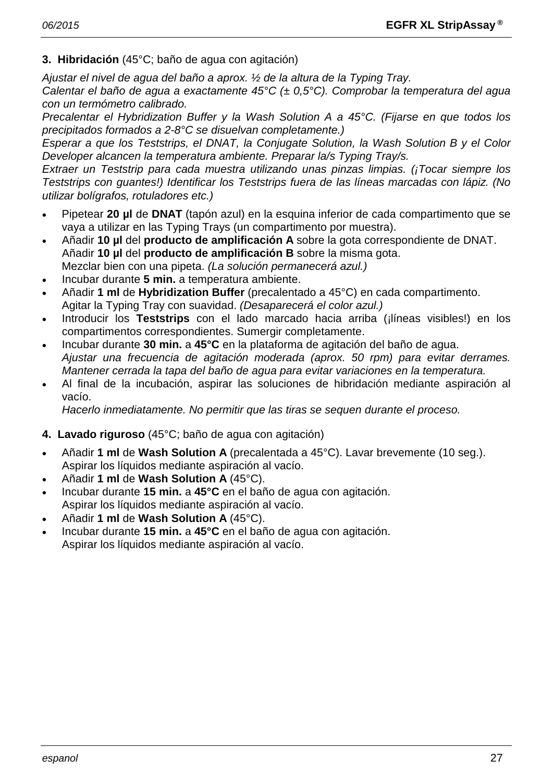# **3. Hibridación** (45°C; baño de agua con agitación)

*Ajustar el nivel de agua del baño a aprox. ½ de la altura de la Typing Tray. Calentar el baño de agua a exactamente 45°C (± 0,5°C). Comprobar la temperatura del agua con un termómetro calibrado.*

*Precalentar el Hybridization Buffer y la Wash Solution A a 45°C. (Fijarse en que todos los precipitados formados a 2-8°C se disuelvan completamente.)*

*Esperar a que los Teststrips, el DNAT, la Conjugate Solution, la Wash Solution B y el Color Developer alcancen la temperatura ambiente. Preparar la/s Typing Tray/s.*

*Extraer un Teststrip para cada muestra utilizando unas pinzas limpias. (¡Tocar siempre los Teststrips con guantes!) Identificar los Teststrips fuera de las líneas marcadas con lápiz. (No utilizar bolígrafos, rotuladores etc.)*

- Pipetear **20 µl** de **DNAT** (tapón azul) en la esquina inferior de cada compartimento que se vaya a utilizar en las Typing Trays (un compartimento por muestra).
- Añadir **10 µl** del **producto de amplificación A** sobre la gota correspondiente de DNAT. Añadir **10 µl** del **producto de amplificación B** sobre la misma gota. Mezclar bien con una pipeta. *(La solución permanecerá azul.)*
- Incubar durante **5 min.** a temperatura ambiente.
- Añadir **1 ml** de **Hybridization Buffer** (precalentado a 45°C) en cada compartimento. Agitar la Typing Tray con suavidad. *(Desaparecerá el color azul.)*
- Introducir los **Teststrips** con el lado marcado hacia arriba (¡líneas visibles!) en los compartimentos correspondientes. Sumergir completamente.
- Incubar durante **30 min.** a **45°C** en la plataforma de agitación del baño de agua. *Ajustar una frecuencia de agitación moderada (aprox. 50 rpm) para evitar derrames. Mantener cerrada la tapa del baño de agua para evitar variaciones en la temperatura.*
- Al final de la incubación, aspirar las soluciones de hibridación mediante aspiración al vacío.

*Hacerlo inmediatamente. No permitir que las tiras se sequen durante el proceso.*

# **4. Lavado riguroso** (45°C; baño de agua con agitación)

- Añadir **1 ml** de **Wash Solution A** (precalentada a 45°C). Lavar brevemente (10 seg.). Aspirar los líquidos mediante aspiración al vacío.
- Añadir **1 ml** de **Wash Solution A** (45°C).
- Incubar durante **15 min.** a **45°C** en el baño de agua con agitación. Aspirar los líquidos mediante aspiración al vacío.
- Añadir **1 ml** de **Wash Solution A** (45°C).
- Incubar durante **15 min.** a **45°C** en el baño de agua con agitación. Aspirar los líquidos mediante aspiración al vacío.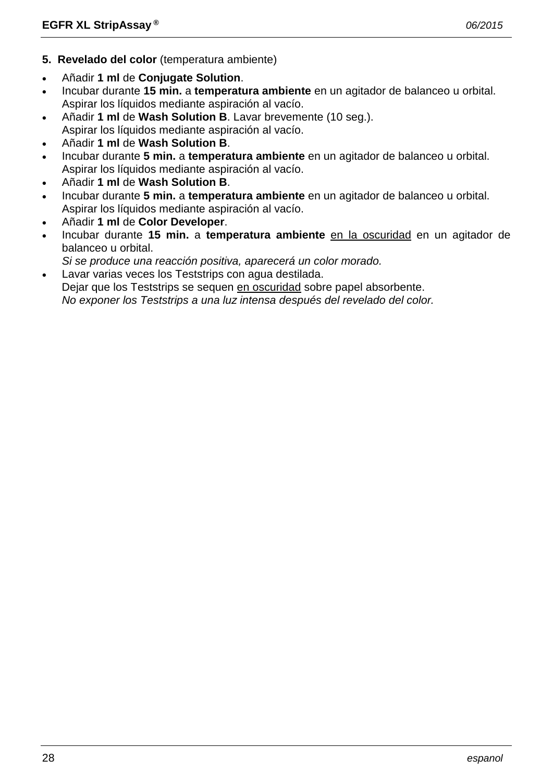- **5. Revelado del color** (temperatura ambiente)
- Añadir **1 ml** de **Conjugate Solution**.
- Incubar durante **15 min.** a **temperatura ambiente** en un agitador de balanceo u orbital. Aspirar los líquidos mediante aspiración al vacío.
- Añadir **1 ml** de **Wash Solution B**. Lavar brevemente (10 seg.). Aspirar los líquidos mediante aspiración al vacío.
- Añadir **1 ml** de **Wash Solution B**.
- Incubar durante **5 min.** a **temperatura ambiente** en un agitador de balanceo u orbital. Aspirar los líquidos mediante aspiración al vacío.
- Añadir **1 ml** de **Wash Solution B**.
- Incubar durante **5 min.** a **temperatura ambiente** en un agitador de balanceo u orbital. Aspirar los líquidos mediante aspiración al vacío.
- Añadir **1 ml** de **Color Developer**.
- Incubar durante **15 min.** a **temperatura ambiente** en la oscuridad en un agitador de balanceo u orbital.
- *Si se produce una reacción positiva, aparecerá un color morado.*
- Lavar varias veces los Teststrips con agua destilada.
- Dejar que los Teststrips se sequen en oscuridad sobre papel absorbente.

*No exponer los Teststrips a una luz intensa después del revelado del color.*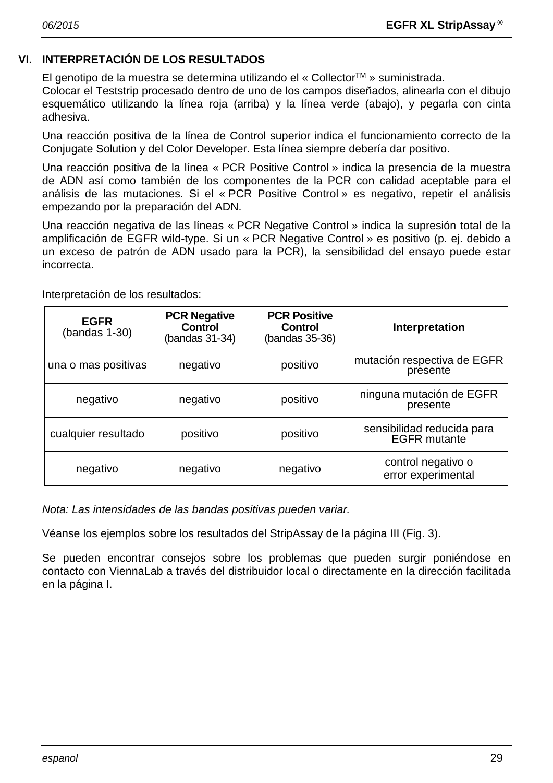# **VI. INTERPRETACIÓN DE LOS RESULTADOS**

El genotipo de la muestra se determina utilizando el « CollectorTM » suministrada.

Colocar el Teststrip procesado dentro de uno de los campos diseñados, alinearla con el dibujo esquemático utilizando la línea roja (arriba) y la línea verde (abajo), y pegarla con cinta adhesiva.

Una reacción positiva de la línea de Control superior indica el funcionamiento correcto de la Conjugate Solution y del Color Developer. Esta línea siempre debería dar positivo.

Una reacción positiva de la línea « PCR Positive Control » indica la presencia de la muestra de ADN así como también de los componentes de la PCR con calidad aceptable para el análisis de las mutaciones. Si el « PCR Positive Control » es negativo, repetir el análisis empezando por la preparación del ADN.

Una reacción negativa de las líneas « PCR Negative Control » indica la supresión total de la amplificación de EGFR wild-type. Si un « PCR Negative Control » es positivo (p. ej. debido a un exceso de patrón de ADN usado para la PCR), la sensibilidad del ensayo puede estar incorrecta.

| <b>EGFR</b><br>$(bandas 1-30)$ | <b>PCR Negative</b><br><b>Control</b><br>(bandas 31-34) | <b>PCR Positive</b><br>Control<br>(bandas 35-36) | Interpretation                                    |
|--------------------------------|---------------------------------------------------------|--------------------------------------------------|---------------------------------------------------|
| una o mas positivas            | negativo                                                | positivo                                         | mutación respectiva de EGFR<br>presente           |
| negativo                       | negativo                                                | positivo                                         | ninguna mutación de EGFR<br>presente              |
| cualquier resultado            | positivo                                                | positivo                                         | sensibilidad reducida para<br><b>EGFR</b> mutante |
| negativo                       | negativo                                                | negativo                                         | control negativo o<br>error experimental          |

Interpretación de los resultados:

*Nota: Las intensidades de las bandas positivas pueden variar.*

Véanse los ejemplos sobre los resultados del StripAssay de la página III (Fig. 3).

Se pueden encontrar consejos sobre los problemas que pueden surgir poniéndose en contacto con ViennaLab a través del distribuidor local o directamente en la dirección facilitada en la página I.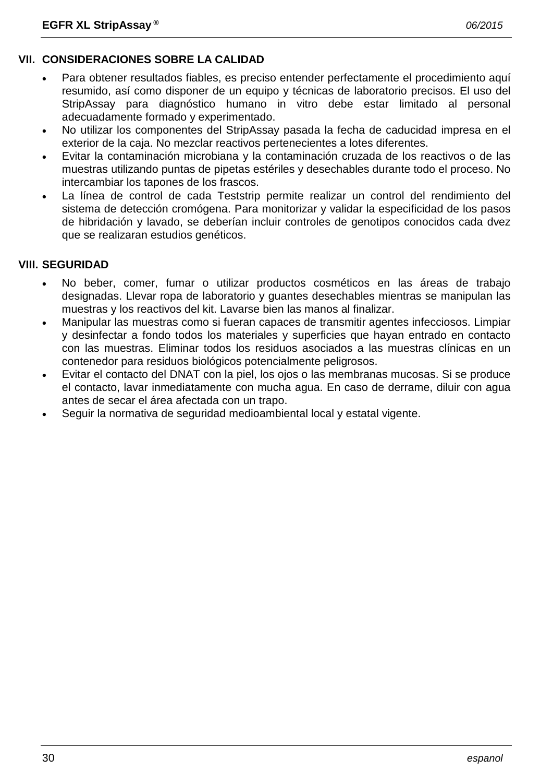# **VII. CONSIDERACIONES SOBRE LA CALIDAD**

- Para obtener resultados fiables, es preciso entender perfectamente el procedimiento aquí resumido, así como disponer de un equipo y técnicas de laboratorio precisos. El uso del StripAssay para diagnóstico humano in vitro debe estar limitado al personal adecuadamente formado y experimentado.
- No utilizar los componentes del StripAssay pasada la fecha de caducidad impresa en el exterior de la caja. No mezclar reactivos pertenecientes a lotes diferentes.
- Evitar la contaminación microbiana y la contaminación cruzada de los reactivos o de las muestras utilizando puntas de pipetas estériles y desechables durante todo el proceso. No intercambiar los tapones de los frascos.
- La línea de control de cada Teststrip permite realizar un control del rendimiento del sistema de detección cromógena. Para monitorizar y validar la especificidad de los pasos de hibridación y lavado, se deberían incluir controles de genotipos conocidos cada dvez que se realizaran estudios genéticos.

# **VIII. SEGURIDAD**

- No beber, comer, fumar o utilizar productos cosméticos en las áreas de trabajo designadas. Llevar ropa de laboratorio y guantes desechables mientras se manipulan las muestras y los reactivos del kit. Lavarse bien las manos al finalizar.
- Manipular las muestras como si fueran capaces de transmitir agentes infecciosos. Limpiar y desinfectar a fondo todos los materiales y superficies que hayan entrado en contacto con las muestras. Eliminar todos los residuos asociados a las muestras clínicas en un contenedor para residuos biológicos potencialmente peligrosos.
- Evitar el contacto del DNAT con la piel, los ojos o las membranas mucosas. Si se produce el contacto, lavar inmediatamente con mucha agua. En caso de derrame, diluir con agua antes de secar el área afectada con un trapo.
- Seguir la normativa de seguridad medioambiental local y estatal vigente.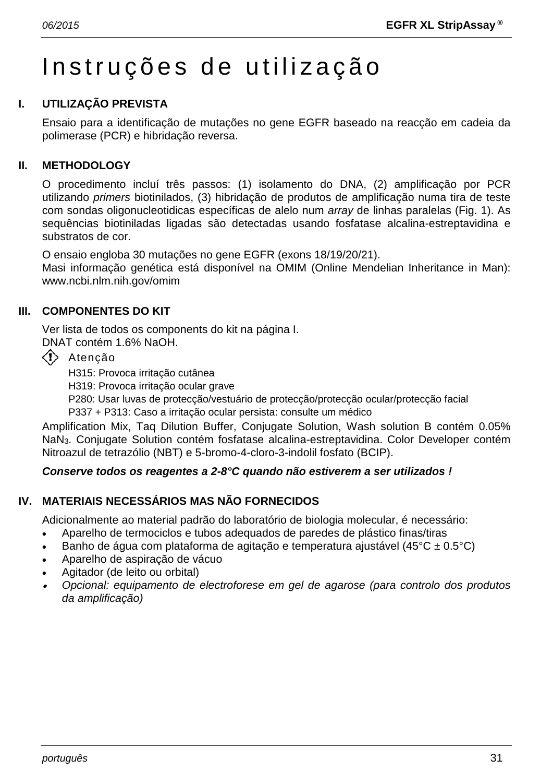# Instruções de utilização

# **I. UTILIZAÇÃO PREVISTA**

Ensaio para a identificação de mutações no gene EGFR baseado na reacção em cadeia da polimerase (PCR) e hibridação reversa.

# **II. METHODOLOGY**

O procedimento incluí três passos: (1) isolamento do DNA, (2) amplificação por PCR utilizando *primers* biotinilados, (3) hibridação de produtos de amplificação numa tira de teste com sondas oligonucleotidicas específicas de alelo num *array* de linhas paralelas (Fig. 1). As sequências biotiniladas ligadas são detectadas usando fosfatase alcalina-estreptavidina e substratos de cor.

O ensaio engloba 30 mutações no gene EGFR (exons 18/19/20/21).

Masi informação genética está disponível na OMIM (Online Mendelian Inheritance in Man): www.ncbi.nlm.nih.gov/omim

# **III. COMPONENTES DO KIT**

Ver lista de todos os components do kit na página I.

DNAT contém 1.6% NaOH.

 $\langle \cdot \rangle$  Atenção

H315: Provoca irritação cutânea

H319: Provoca irritação ocular grave

P280: Usar luvas de protecção/vestuário de protecção/protecção ocular/protecção facial

P337 + P313: Caso a irritação ocular persista: consulte um médico

Amplification Mix, Taq Dilution Buffer, Conjugate Solution, Wash solution B contém 0.05% NaN3. Conjugate Solution contém fosfatase alcalina-estreptavidina. Color Developer contém Nitroazul de tetrazólio (NBT) e 5-bromo-4-cloro-3-indolil fosfato (BCIP).

# *Conserve todos os reagentes a 2-8°C quando não estiverem a ser utilizados !*

# **IV. MATERIAIS NECESSÁRIOS MAS NÃO FORNECIDOS**

Adicionalmente ao material padrão do laboratório de biologia molecular, é necessário:

- Aparelho de termociclos e tubos adequados de paredes de plástico finas/tiras
- Banho de água com plataforma de agitação e temperatura ajustável (45 $^{\circ}$ C ± 0.5 $^{\circ}$ C)
- Aparelho de aspiração de vácuo
- Agitador (de leito ou orbital)
- • *Opcional: equipamento de electroforese em gel de agarose (para controlo dos produtos da amplificação)*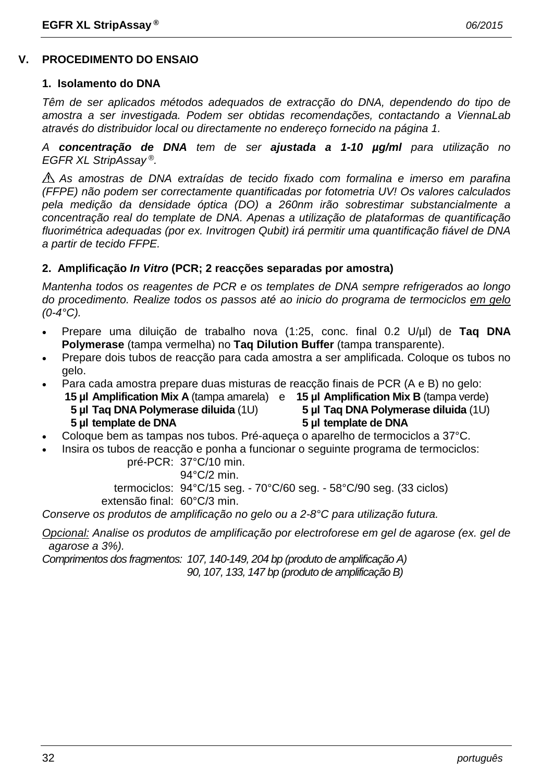# **V. PROCEDIMENTO DO ENSAIO**

#### **1. Isolamento do DNA**

*Têm de ser aplicados métodos adequados de extracção do DNA, dependendo do tipo de amostra a ser investigada. Podem ser obtidas recomendações, contactando a ViennaLab através do distribuidor local ou directamente no endereço fornecido na página 1.*

*A concentração de DNA tem de ser ajustada a 1-10 µg/ml para utilização no EGFR XL StripAssay ®.*

*As amostras de DNA extraídas de tecido fixado com formalina e imerso em parafina (FFPE) não podem ser correctamente quantificadas por fotometria UV! Os valores calculados pela medição da densidade óptica (DO) a 260nm irão sobrestimar substancialmente a concentração real do template de DNA. Apenas a utilização de plataformas de quantificação fluorimétrica adequadas (por ex. Invitrogen Qubit) irá permitir uma quantificação fiável de DNA a partir de tecido FFPE.*

# **2. Amplificação** *In Vitro* **(PCR; 2 reacções separadas por amostra)**

*Mantenha todos os reagentes de PCR e os templates de DNA sempre refrigerados ao longo do procedimento. Realize todos os passos até ao inicio do programa de termociclos em gelo (0-4°C).*

- Prepare uma diluição de trabalho nova (1:25, conc. final 0.2 U/µl) de **Taq DNA Polymerase** (tampa vermelha) no **Taq Dilution Buffer** (tampa transparente).
- Prepare dois tubos de reacção para cada amostra a ser amplificada. Coloque os tubos no gelo.
- Para cada amostra prepare duas misturas de reacção finais de PCR (A e B) no gelo:
	- **15 µl Amplification Mix A** (tampa amarela) e **15 µl Amplification Mix B** (tampa verde)
		-
		- **5 µl Taq DNA Polymerase diluida** (1U) **5 µl Taq DNA Polymerase diluida** (1U)
		-
		- **5 µl template de DNA 5 µl template de DNA**
- Coloque bem as tampas nos tubos. Pré-aqueça o aparelho de termociclos a 37°C.
- Insira os tubos de reacção e ponha a funcionar o seguinte programa de termociclos:

pré-PCR: 37°C/10 min.

94°C/2 min.

termociclos: 94°C/15 seg. - 70°C/60 seg. - 58°C/90 seg. (33 ciclos)

extensão final: 60°C/3 min.

*Conserve os produtos de amplificação no gelo ou a 2-8°C para utilização futura.*

*Opcional: Analise os produtos de amplificação por electroforese em gel de agarose (ex. gel de agarose a 3%).*

*Comprimentos dos fragmentos: 107, 140-149, 204 bp (produto de amplificação A) 90, 107, 133, 147 bp (produto de amplificação B)*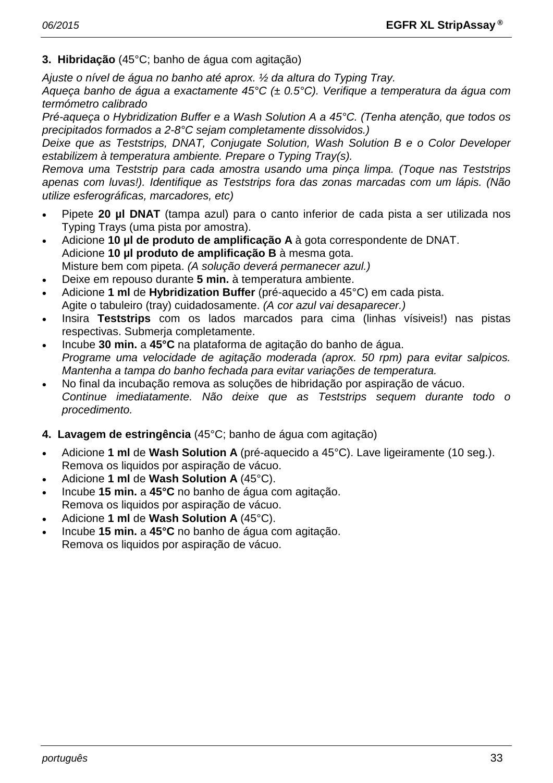**3. Hibridação** (45°C; banho de água com agitação)

*Ajuste o nível de água no banho até aprox. ½ da altura do Typing Tray.*

*Aqueça banho de água a exactamente 45°C (± 0.5°C). Verifique a temperatura da água com termómetro calibrado*

*Pré-aqueça o Hybridization Buffer e a Wash Solution A a 45°C. (Tenha atenção, que todos os precipitados formados a 2-8°C sejam completamente dissolvidos.)*

*Deixe que as Teststrips, DNAT, Conjugate Solution, Wash Solution B e o Color Developer estabilizem à temperatura ambiente. Prepare o Typing Tray(s).*

*Remova uma Teststrip para cada amostra usando uma pinça limpa. (Toque nas Teststrips apenas com luvas!). Identifique as Teststrips fora das zonas marcadas com um lápis. (Não utilize esferográficas, marcadores, etc)*

- Pipete **20 µl DNAT** (tampa azul) para o canto inferior de cada pista a ser utilizada nos Typing Trays (uma pista por amostra).
- Adicione **10 µl de produto de amplificação A** à gota correspondente de DNAT. Adicione **10 µl produto de amplificação B** à mesma gota. Misture bem com pipeta. *(A solução deverá permanecer azul.)*
- Deixe em repouso durante **5 min.** à temperatura ambiente.
- Adicione **1 ml** de **Hybridization Buffer** (pré-aquecido a 45°C) em cada pista. Agite o tabuleiro (tray) cuidadosamente. *(A cor azul vai desaparecer.)*
- Insira **Teststrips** com os lados marcados para cima (linhas vísiveis!) nas pistas respectivas. Submerja completamente.
- Incube **30 min.** a **45°C** na plataforma de agitação do banho de água. *Programe uma velocidade de agitação moderada (aprox. 50 rpm) para evitar salpicos. Mantenha a tampa do banho fechada para evitar variações de temperatura.*
- No final da incubação remova as soluções de hibridação por aspiração de vácuo. *Continue imediatamente. Não deixe que as Teststrips sequem durante todo o procedimento.*
- **4. Lavagem de estringência** (45°C; banho de água com agitação)
- Adicione **1 ml** de **Wash Solution A** (pré-aquecido a 45°C). Lave ligeiramente (10 seg.). Remova os liquidos por aspiração de vácuo.
- Adicione **1 ml** de **Wash Solution A** (45°C).
- Incube **15 min.** a **45°C** no banho de água com agitação. Remova os liquidos por aspiração de vácuo.
- Adicione **1 ml** de **Wash Solution A** (45°C).
- Incube **15 min.** a **45°C** no banho de água com agitação. Remova os liquidos por aspiração de vácuo.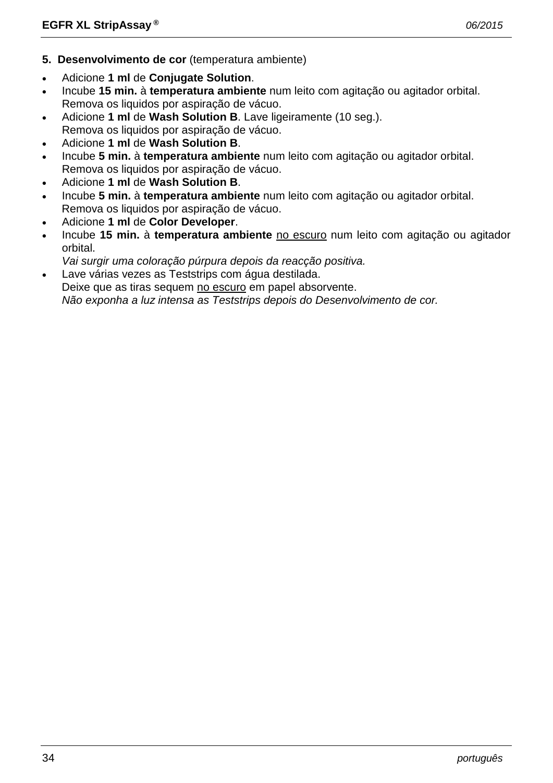- **5. Desenvolvimento de cor** (temperatura ambiente)
- Adicione **1 ml** de **Conjugate Solution**.
- Incube **15 min.** à **temperatura ambiente** num leito com agitação ou agitador orbital. Remova os liquidos por aspiração de vácuo.
- Adicione **1 ml** de **Wash Solution B**. Lave ligeiramente (10 seg.). Remova os liquidos por aspiração de vácuo.
- Adicione **1 ml** de **Wash Solution B**.
- Incube **5 min.** à **temperatura ambiente** num leito com agitação ou agitador orbital. Remova os liquidos por aspiração de vácuo.
- Adicione **1 ml** de **Wash Solution B**.
- Incube **5 min.** à **temperatura ambiente** num leito com agitação ou agitador orbital. Remova os liquidos por aspiração de vácuo.
- Adicione **1 ml** de **Color Developer**.
- Incube **15 min.** à **temperatura ambiente** no escuro num leito com agitação ou agitador orbital.
- *Vai surgir uma coloração púrpura depois da reacção positiva.*
- Lave várias vezes as Teststrips com água destilada.

Deixe que as tiras sequem no escuro em papel absorvente.

*Não exponha a luz intensa as Teststrips depois do Desenvolvimento de cor.*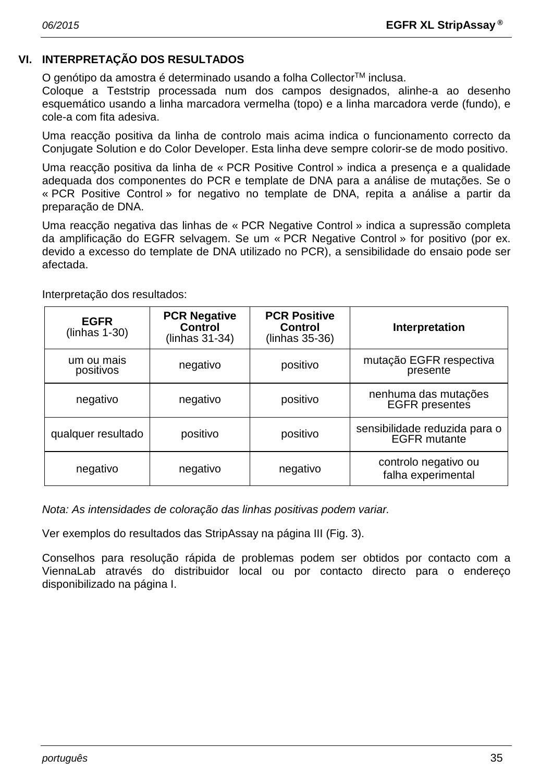# **VI. INTERPRETAÇÃO DOS RESULTADOS**

O genótipo da amostra é determinado usando a folha Collector™ inclusa.

Coloque a Teststrip processada num dos campos designados, alinhe-a ao desenho esquemático usando a linha marcadora vermelha (topo) e a linha marcadora verde (fundo), e cole-a com fita adesiva.

Uma reacção positiva da linha de controlo mais acima indica o funcionamento correcto da Conjugate Solution e do Color Developer. Esta linha deve sempre colorir-se de modo positivo.

Uma reacção positiva da linha de « PCR Positive Control » indica a presença e a qualidade adequada dos componentes do PCR e template de DNA para a análise de mutações. Se o « PCR Positive Control » for negativo no template de DNA, repita a análise a partir da preparação de DNA.

Uma reacção negativa das linhas de « PCR Negative Control » indica a supressão completa da amplificação do EGFR selvagem. Se um « PCR Negative Control » for positivo (por ex. devido a excesso do template de DNA utilizado no PCR), a sensibilidade do ensaio pode ser afectada.

| <b>EGFR</b><br>$(lnhas 1-30)$ | <b>PCR Negative</b><br><b>Control</b><br>(linhas 31-34) | <b>PCR Positive</b><br>Control<br>(linhas 35-36) | Interpretation                                       |
|-------------------------------|---------------------------------------------------------|--------------------------------------------------|------------------------------------------------------|
| um ou mais<br>positivos       | negativo                                                | positivo                                         | mutação EGFR respectiva<br>presente                  |
| negativo                      | negativo                                                | positivo                                         | nenhuma das mutações<br><b>EGFR</b> presentes        |
| qualquer resultado            | positivo                                                | positivo                                         | sensibilidade reduzida para o<br><b>EGFR</b> mutante |
| negativo                      | negativo                                                | negativo                                         | controlo negativo ou<br>falha experimental           |

Interpretação dos resultados:

*Nota: As intensidades de coloração das linhas positivas podem variar.*

Ver exemplos do resultados das StripAssay na página III (Fig. 3).

Conselhos para resolução rápida de problemas podem ser obtidos por contacto com a ViennaLab através do distribuidor local ou por contacto directo para o endereço disponibilizado na página I.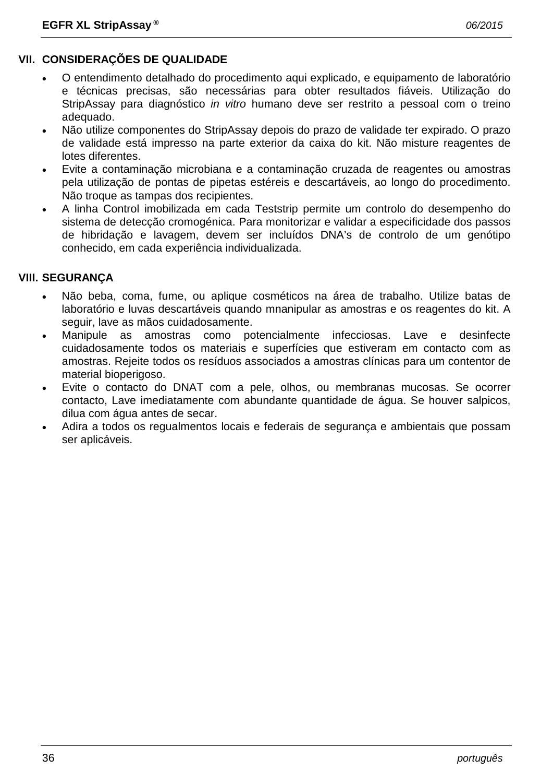# **VII. CONSIDERAÇÕES DE QUALIDADE**

- O entendimento detalhado do procedimento aqui explicado, e equipamento de laboratório e técnicas precisas, são necessárias para obter resultados fiáveis. Utilização do StripAssay para diagnóstico *in vitro* humano deve ser restrito a pessoal com o treino adequado.
- Não utilize componentes do StripAssay depois do prazo de validade ter expirado. O prazo de validade está impresso na parte exterior da caixa do kit. Não misture reagentes de lotes diferentes.
- Evite a contaminação microbiana e a contaminação cruzada de reagentes ou amostras pela utilização de pontas de pipetas estéreis e descartáveis, ao longo do procedimento. Não troque as tampas dos recipientes.
- A linha Control imobilizada em cada Teststrip permite um controlo do desempenho do sistema de detecção cromogénica. Para monitorizar e validar a especificidade dos passos de hibridação e lavagem, devem ser incluídos DNA's de controlo de um genótipo conhecido, em cada experiência individualizada.

# **VIII. SEGURANÇA**

- Não beba, coma, fume, ou aplique cosméticos na área de trabalho. Utilize batas de laboratório e luvas descartáveis quando mnanipular as amostras e os reagentes do kit. A seguir, lave as mãos cuidadosamente.
- Manipule as amostras como potencialmente infecciosas. Lave e desinfecte cuidadosamente todos os materiais e superfícies que estiveram em contacto com as amostras. Rejeite todos os resíduos associados a amostras clínicas para um contentor de material bioperigoso.
- Evite o contacto do DNAT com a pele, olhos, ou membranas mucosas. Se ocorrer contacto, Lave imediatamente com abundante quantidade de água. Se houver salpicos, dilua com água antes de secar.
- Adira a todos os regualmentos locais e federais de segurança e ambientais que possam ser aplicáveis.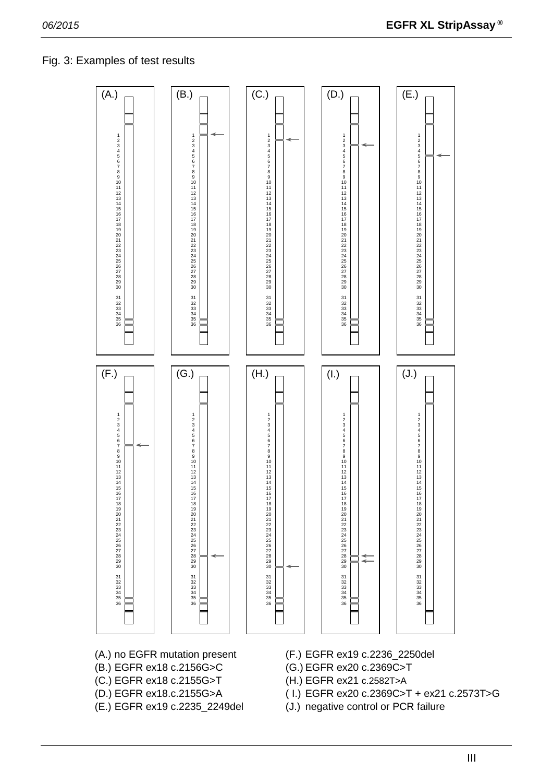# Fig. 3: Examples of test results



- 
- 
- 
- 
- 
- (A.) no EGFR mutation present (F.) EGFR ex19 c.2236\_2250del
- (B.) EGFR ex18 c.2156G>C (G.) EGFR ex20 c.2369C>T
- (C.) EGFR ex18 c.2155G>T (H.) EGFR ex21 c.2582T>A
- (D.) EGFR ex18.c.2155G>A ( I.) EGFR ex20 c.2369C>T + ex21 c.2573T>G
- (E.) EGFR ex19 c.2235\_2249del (J.) negative control or PCR failure